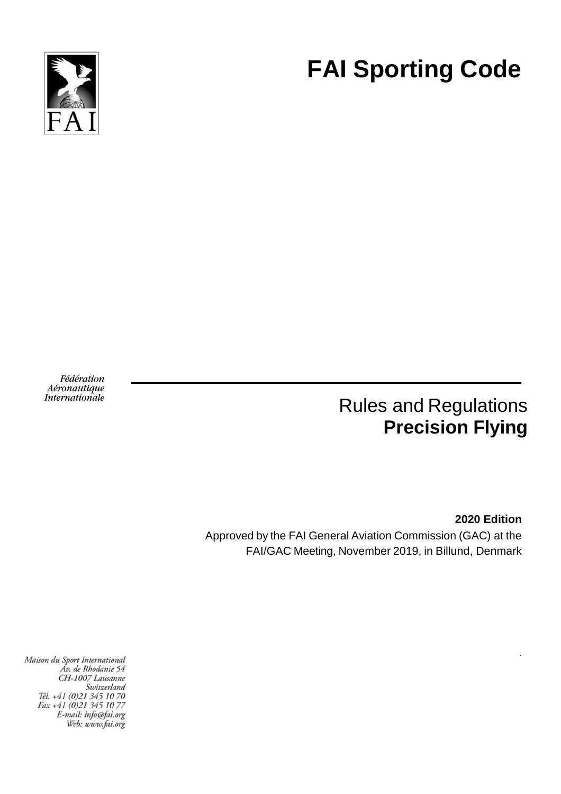

# **FAI Sporting Code**

Fédération Aéronautique Internationale

## Rules and Regulations **Precision Flying**

.

**2020 Edition** Approved by the FAI General Aviation Commission (GAC) at the FAI/GAC Meeting, November 2019, in Billund, Denmark

Maison du Sport International Áv. de Rhodanie 54 CH-1007 Lausanne Switzerland Tél. +41 (0)21 345 10 70 Fax +41 (0)21 345 10 77 E-mail: info@fai.org Web: www.fai.org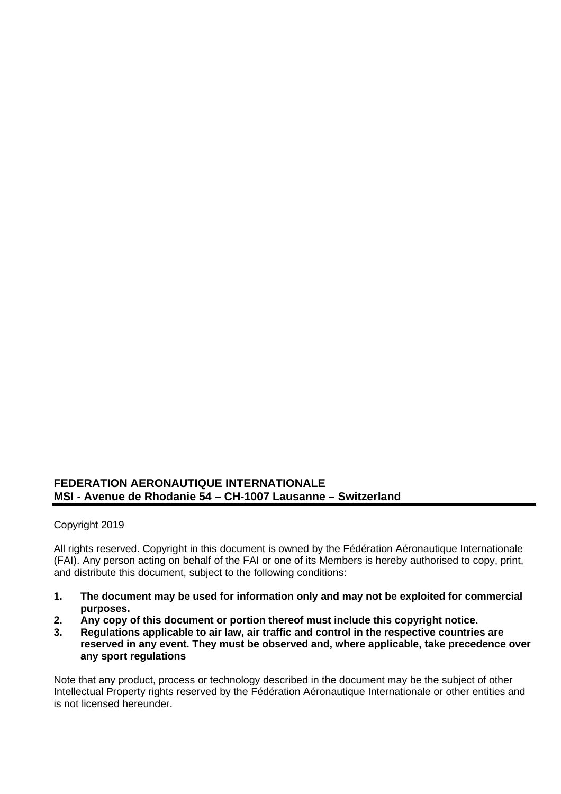#### **FEDERATION AERONAUTIQUE INTERNATIONALE MSI - Avenue de Rhodanie 54 – CH-1007 Lausanne – Switzerland**

#### Copyright 2019

All rights reserved. Copyright in this document is owned by the Fédération Aéronautique Internationale (FAI). Any person acting on behalf of the FAI or one of its Members is hereby authorised to copy, print, and distribute this document, subject to the following conditions:

- **1. The document may be used for information only and may not be exploited for commercial purposes.**
- **2. Any copy of this document or portion thereof must include this copyright notice.**
- **3. Regulations applicable to air law, air traffic and control in the respective countries are reserved in any event. They must be observed and, where applicable, take precedence over any sport regulations**

Note that any product, process or technology described in the document may be the subject of other Intellectual Property rights reserved by the Fédération Aéronautique Internationale or other entities and is not licensed hereunder.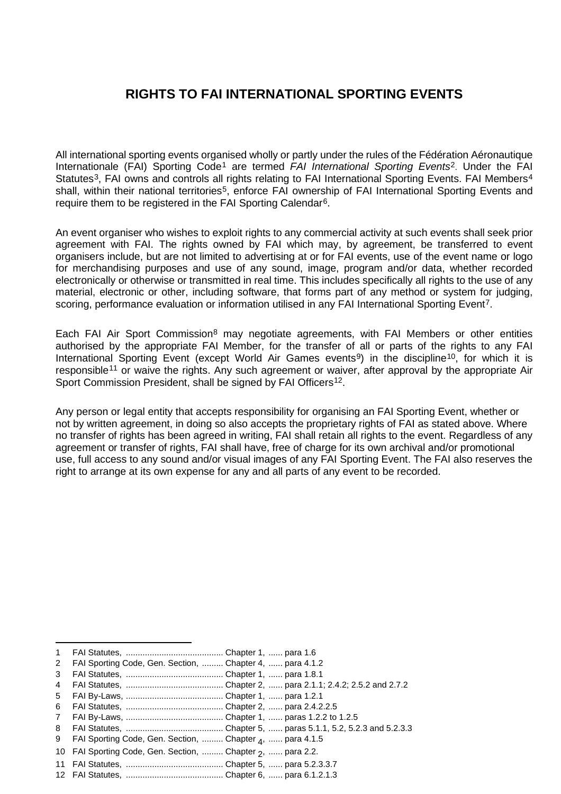### **RIGHTS TO FAI INTERNATIONAL SPORTING EVENTS**

All international sporting events organised wholly or partly under the rules of the Fédération Aéronautique Internationale (FAI) Sporting Code<sup>[1](#page-2-0)</sup> are termed *FAI International Sporting Events*<sup>2</sup>. Under the FAI Statutes<sup>[3](#page-2-2)</sup>, FAI owns and controls all rights relating to FAI International Sporting Events. FAI Members<sup>[4](#page-2-3)</sup> shall, within their national territories<sup>5</sup>, enforce FAI ownership of FAI International Sporting Events and require them to be registered in the FAI Sporting Calendar[6](#page-2-5).

An event organiser who wishes to exploit rights to any commercial activity at such events shall seek prior agreement with FAI. The rights owned by FAI which may, by agreement, be transferred to event organisers include, but are not limited to advertising at or for FAI events, use of the event name or logo for merchandising purposes and use of any sound, image, program and/or data, whether recorded electronically or otherwise or transmitted in real time. This includes specifically all rights to the use of any material, electronic or other, including software, that forms part of any method or system for judging, scoring, performance evaluation or information utilised in any FAI International Sporting Event<sup>7</sup>.

Each FAI Air Sport Commission<sup>[8](#page-2-7)</sup> may negotiate agreements, with FAI Members or other entities authorised by the appropriate FAI Member, for the transfer of all or parts of the rights to any FAI International Sporting Event (except World Air Games events<sup>9</sup>) in the discipline<sup>[10](#page-2-9)</sup>, for which it is responsible<sup>[11](#page-2-10)</sup> or waive the rights. Any such agreement or waiver, after approval by the appropriate Air Sport Commission President, shall be signed by FAI Officers<sup>[12](#page-2-11)</sup>.

Any person or legal entity that accepts responsibility for organising an FAI Sporting Event, whether or not by written agreement, in doing so also accepts the proprietary rights of FAI as stated above. Where no transfer of rights has been agreed in writing, FAI shall retain all rights to the event. Regardless of any agreement or transfer of rights, FAI shall have, free of charge for its own archival and/or promotional use, full access to any sound and/or visual images of any FAI Sporting Event. The FAI also reserves the right to arrange at its own expense for any and all parts of any event to be recorded.

<span id="page-2-1"></span><span id="page-2-0"></span><sup>1</sup> FAI Statutes, ......................................... Chapter 1, ...... para 1.6

<sup>2</sup> FAI Sporting Code, Gen. Section, ......... Chapter 4, ...... para 4.1.2

<span id="page-2-2"></span><sup>3</sup> FAI Statutes, ......................................... Chapter 1, ...... para 1.8.1

<span id="page-2-3"></span><sup>4</sup> FAI Statutes, ......................................... Chapter 2, ...... para 2.1.1; 2.4.2; 2.5.2 and 2.7.2

<span id="page-2-4"></span><sup>5</sup> FAI By-Laws, ......................................... Chapter 1, ...... para 1.2.1

<span id="page-2-5"></span><sup>6</sup> FAI Statutes, ......................................... Chapter 2, ...... para 2.4.2.2.5

<span id="page-2-6"></span><sup>7</sup> FAI By-Laws, ......................................... Chapter 1, ...... paras 1.2.2 to 1.2.5

<sup>8</sup> FAI Statutes, ......................................... Chapter 5, ...... paras 5.1.1, 5.2, 5.2.3 and 5.2.3.3 9 FAI Sporting Code, Gen. Section, ......... Chapter  $\Lambda$ , ...... para 4.1.5

<span id="page-2-9"></span><span id="page-2-8"></span><span id="page-2-7"></span>

<sup>10</sup> FAI Sporting Code, Gen. Section, ......... Chapter 2, ...... para 2.2.

<span id="page-2-10"></span><sup>11</sup> FAI Statutes, ......................................... Chapter 5, ...... para 5.2.3.3.7

<span id="page-2-11"></span><sup>12</sup> FAI Statutes, ......................................... Chapter 6, ...... para 6.1.2.1.3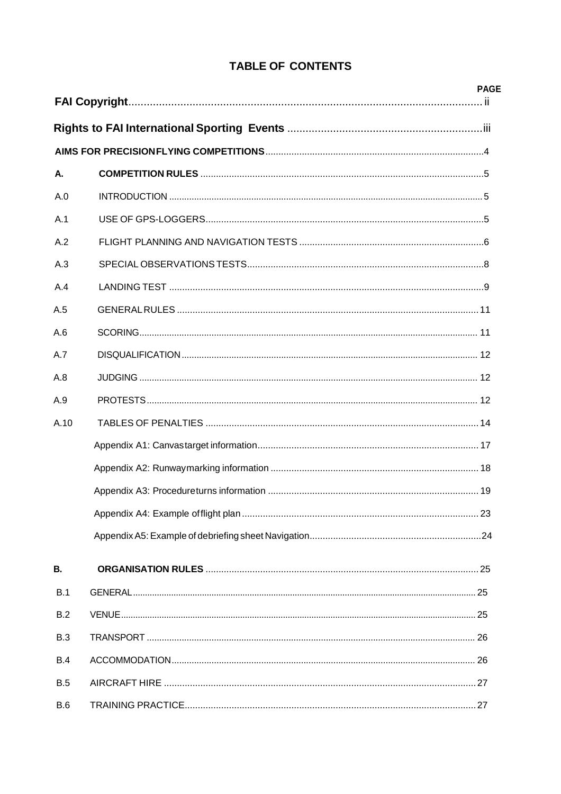|            | <b>PAGE</b> |
|------------|-------------|
|            |             |
|            |             |
| А.         |             |
| A.0        |             |
| A.1        |             |
| A.2        |             |
| A.3        |             |
| A.4        |             |
| A.5        |             |
| A.6        |             |
| A.7        |             |
| A.8        |             |
| A.9        |             |
| A.10       |             |
|            |             |
|            |             |
|            |             |
|            |             |
|            |             |
| В.         |             |
| B.1        |             |
| B.2        |             |
| <b>B.3</b> |             |
| <b>B.4</b> |             |
| <b>B.5</b> |             |
| <b>B.6</b> |             |

### **TABLE OF CONTENTS**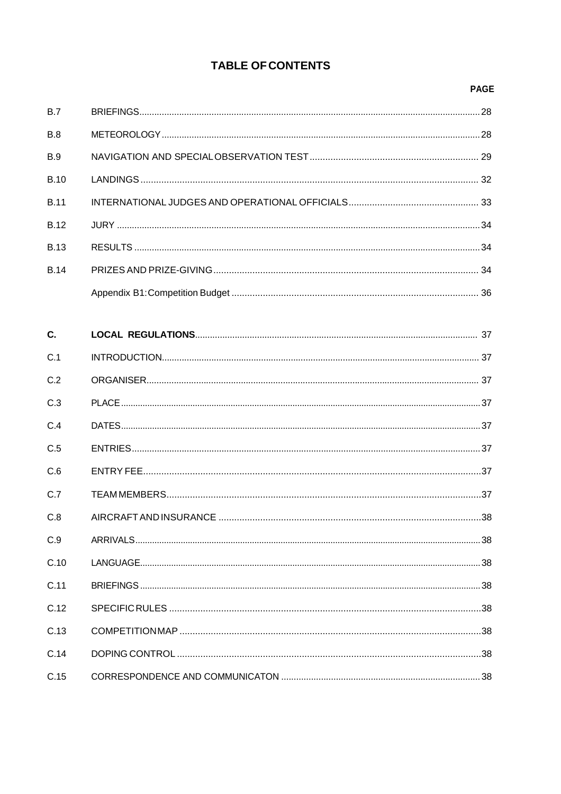#### **TABLE OF CONTENTS**

|             | <b>PAGE</b> |
|-------------|-------------|
| B.7         |             |
| B.8         |             |
| <b>B.9</b>  |             |
| <b>B.10</b> |             |
| <b>B.11</b> |             |
| <b>B.12</b> |             |
| <b>B.13</b> |             |
| <b>B.14</b> |             |
|             |             |
|             |             |
| C.          |             |
| C.1         |             |
| C.2         |             |
| C.3         |             |
| C.4         |             |
| C.5         |             |
| C.6         |             |
| C.7         |             |
| C.8         |             |
| C.9         |             |
| C.10        |             |
| C.11        |             |
| C.12        |             |
| C.13        |             |
| C.14        |             |
| C.15        |             |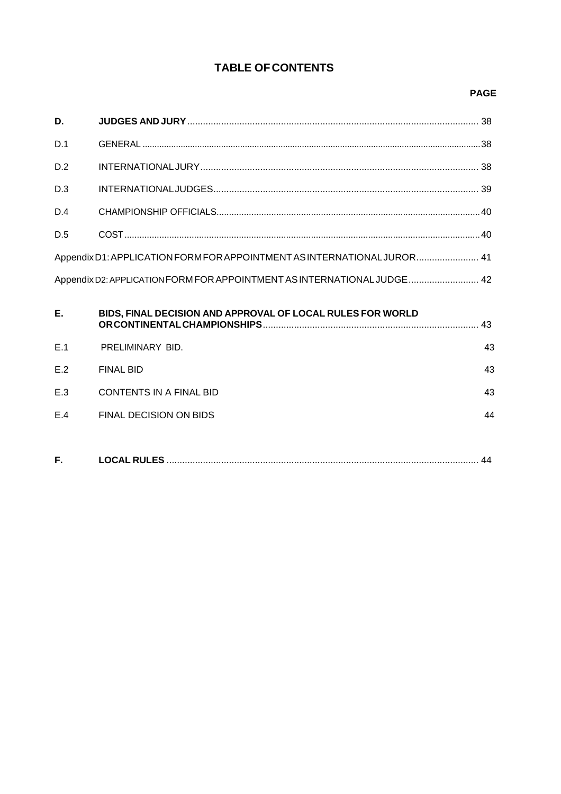#### **TABLE OF CONTENTS**

#### **PAGE**

| D.             |                                                                          |    |
|----------------|--------------------------------------------------------------------------|----|
| D.1            |                                                                          |    |
| D.2            |                                                                          |    |
| D.3            |                                                                          |    |
| D.4            |                                                                          |    |
| D.5            |                                                                          |    |
|                | Appendix D1: APPLICATION FORM FOR APPOINTMENT AS INTERNATIONAL JUROR 41  |    |
|                | Appendix D2: APPLICATION FORM FOR APPOINTMENT AS INTERNATIONAL JUDGE  42 |    |
| E.             | BIDS, FINAL DECISION AND APPROVAL OF LOCAL RULES FOR WORLD               |    |
| F <sub>1</sub> | PRELIMINARY BID.                                                         | 43 |
| F <sub>2</sub> | <b>FINAL BID</b>                                                         | 43 |
| E.3            | CONTENTS IN A FINAL BID                                                  | 43 |
| F <sub>4</sub> | <b>FINAL DECISION ON BIDS</b>                                            | 44 |
|                |                                                                          |    |
|                |                                                                          |    |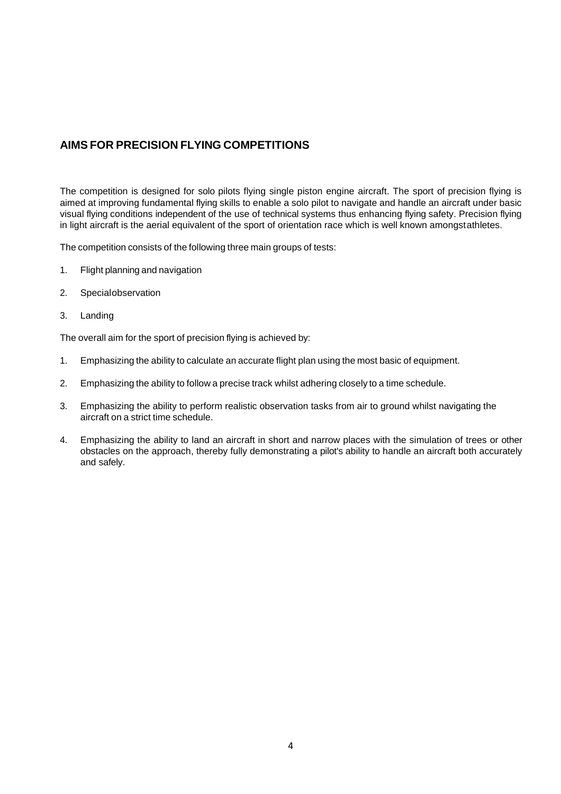#### <span id="page-6-0"></span>**AIMS FOR PRECISION FLYING COMPETITIONS**

The competition is designed for solo pilots flying single piston engine aircraft. The sport of precision flying is aimed at improving fundamental flying skills to enable a solo pilot to navigate and handle an aircraft under basic visual flying conditions independent of the use of technical systems thus enhancing flying safety. Precision flying in light aircraft is the aerial equivalent of the sport of orientation race which is well known amongstathletes.

The competition consists of the following three main groups of tests:

- 1. Flight planning and navigation
- 2. Specialobservation
- 3. Landing

The overall aim for the sport of precision flying is achieved by:

- 1. Emphasizing the ability to calculate an accurate flight plan using the most basic of equipment.
- 2. Emphasizing the ability to follow a precise track whilst adhering closely to a time schedule.
- 3. Emphasizing the ability to perform realistic observation tasks from air to ground whilst navigating the aircraft on a strict time schedule.
- 4. Emphasizing the ability to land an aircraft in short and narrow places with the simulation of trees or other obstacles on the approach, thereby fully demonstrating a pilot's ability to handle an aircraft both accurately and safely.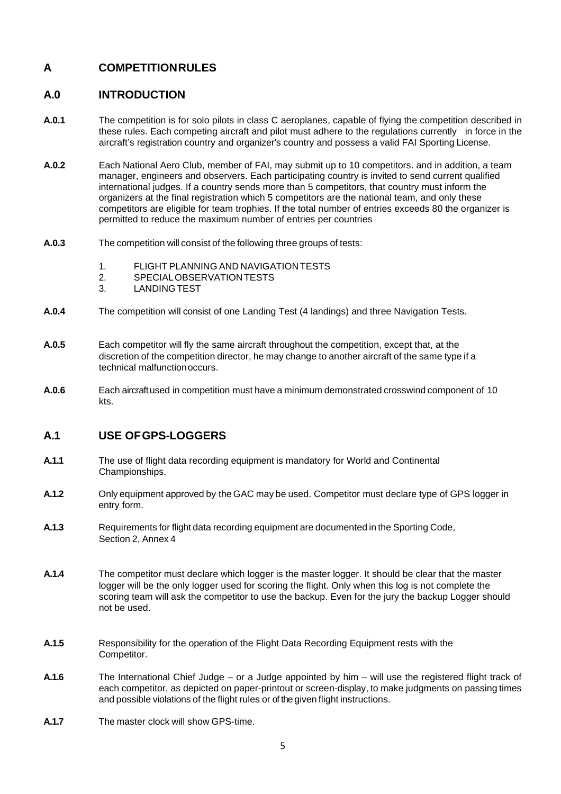#### <span id="page-7-0"></span>**A COMPETITIONRULES**

#### **A.0 INTRODUCTION**

- **A.0.1** The competition is for solo pilots in class C aeroplanes, capable of flying the competition described in these rules. Each competing aircraft and pilot must adhere to the regulations currently in force in the aircraft's registration country and organizer's country and possess a valid FAI Sporting License.
- **A.0.2** Each National Aero Club, member of FAI, may submit up to 10 competitors. and in addition, a team manager, engineers and observers. Each participating country is invited to send current qualified international judges. If a country sends more than 5 competitors, that country must inform the organizers at the final registration which 5 competitors are the national team, and only these competitors are eligible for team trophies. If the total number of entries exceeds 80 the organizer is permitted to reduce the maximum number of entries per countries
- **A.0.3** The competition will consist of the following three groups of tests:
	- 1. FLIGHT PLANNING AND NAVIGATION TESTS<br>2. SPECIAL OBSERVATION TESTS
	- 2. SPECIALOBSERVATIONTESTS<br>3. LANDINGTEST
	- LANDING TEST
- **A.0.4** The competition will consist of one Landing Test (4 landings) and three Navigation Tests.
- **A.0.5** Each competitor will fly the same aircraft throughout the competition, except that, at the discretion of the competition director, he may change to another aircraft of the same type if a technical malfunctionoccurs.
- **A.0.6** Each aircraftused in competition must have a minimum demonstrated crosswind component of 10 kts.

#### <span id="page-7-1"></span>**A.1 USE OFGPS-LOGGERS**

- **A.1.1** The use of flight data recording equipment is mandatory for World and Continental Championships.
- **A.1.2** Only equipment approved by the GAC may be used. Competitor must declare type of GPS logger in entry form.
- **A.1.3** Requirements for flight data recording equipment are documented in the Sporting Code, Section 2, Annex 4
- A.1.4 The competitor must declare which logger is the master logger. It should be clear that the master logger will be the only logger used for scoring the flight. Only when this log is not complete the scoring team will ask the competitor to use the backup. Even for the jury the backup Logger should not be used.
- **A.1.5** Responsibility for the operation of the Flight Data Recording Equipment rests with the Competitor.
- **A.1.6** The International Chief Judge or a Judge appointed by him will use the registered flight track of each competitor, as depicted on paper-printout or screen-display, to make judgments on passing times and possible violations of the flight rules or of the given flight instructions.
- **A.1.7** The master clock will show GPS-time.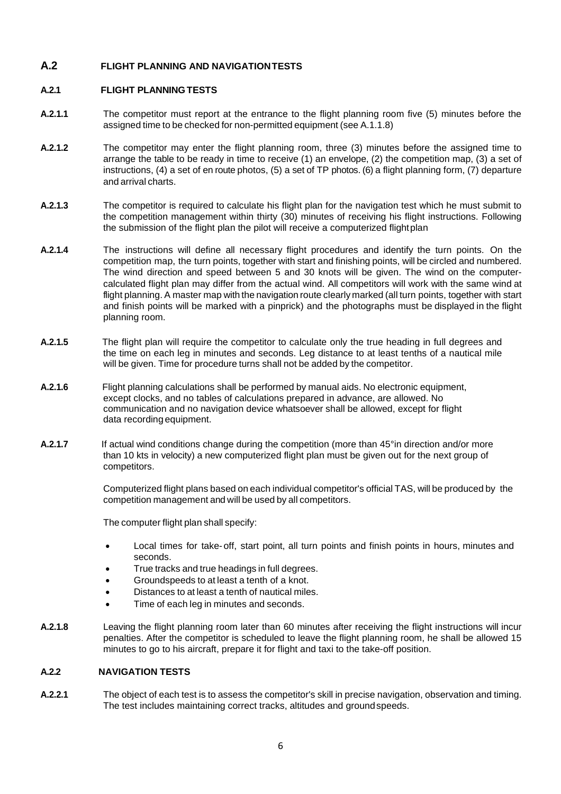#### <span id="page-8-0"></span>**A.2 FLIGHT PLANNING AND NAVIGATIONTESTS**

#### **A.2.1 FLIGHT PLANNING TESTS**

- **A.2.1.1** The competitor must report at the entrance to the flight planning room five (5) minutes before the assigned time to be checked for non-permitted equipment (see A.1.1.8)
- **A.2.1.2** The competitor may enter the flight planning room, three (3) minutes before the assigned time to arrange the table to be ready in time to receive (1) an envelope, (2) the competition map, (3) a set of instructions, (4) a set of en route photos, (5) a set of TP photos. (6) a flight planning form, (7) departure and arrival charts.
- **A.2.1.3** The competitor is required to calculate his flight plan for the navigation test which he must submit to the competition management within thirty (30) minutes of receiving his flight instructions. Following the submission of the flight plan the pilot will receive a computerized flightplan
- **A.2.1.4** The instructions will define all necessary flight procedures and identify the turn points. On the competition map, the turn points, together with start and finishing points, will be circled and numbered. The wind direction and speed between 5 and 30 knots will be given. The wind on the computercalculated flight plan may differ from the actual wind. All competitors will work with the same wind at flight planning. A master map with the navigation route clearly marked (all turn points, together with start and finish points will be marked with a pinprick) and the photographs must be displayed in the flight planning room.
- **A.2.1.5** The flight plan will require the competitor to calculate only the true heading in full degrees and the time on each leg in minutes and seconds. Leg distance to at least tenths of a nautical mile will be given. Time for procedure turns shall not be added by the competitor.
- **A.2.1.6** Flight planning calculations shall be performed by manual aids. No electronic equipment, except clocks, and no tables of calculations prepared in advance, are allowed. No communication and no navigation device whatsoever shall be allowed, except for flight data recording equipment.
- **A.2.1.7** If actual wind conditions change during the competition (more than 45°in direction and/or more than 10 kts in velocity) a new computerized flight plan must be given out for the next group of competitors.

Computerized flight plans based on each individual competitor's official TAS, will be produced by the competition management and will be used by all competitors.

The computer flight plan shall specify:

- Local times for take- off, start point, all turn points and finish points in hours, minutes and seconds.
- True tracks and true headings in full degrees.
- Groundspeeds to at least a tenth of a knot.
- Distances to at least a tenth of nautical miles.
- Time of each leg in minutes and seconds.
- **A.2.1.8** Leaving the flight planning room later than 60 minutes after receiving the flight instructions will incur penalties. After the competitor is scheduled to leave the flight planning room, he shall be allowed 15 minutes to go to his aircraft, prepare it for flight and taxi to the take-off position.

#### **A.2.2 NAVIGATION TESTS**

**A.2.2.1** The object of each test is to assess the competitor's skill in precise navigation, observation and timing. The test includes maintaining correct tracks, altitudes and groundspeeds.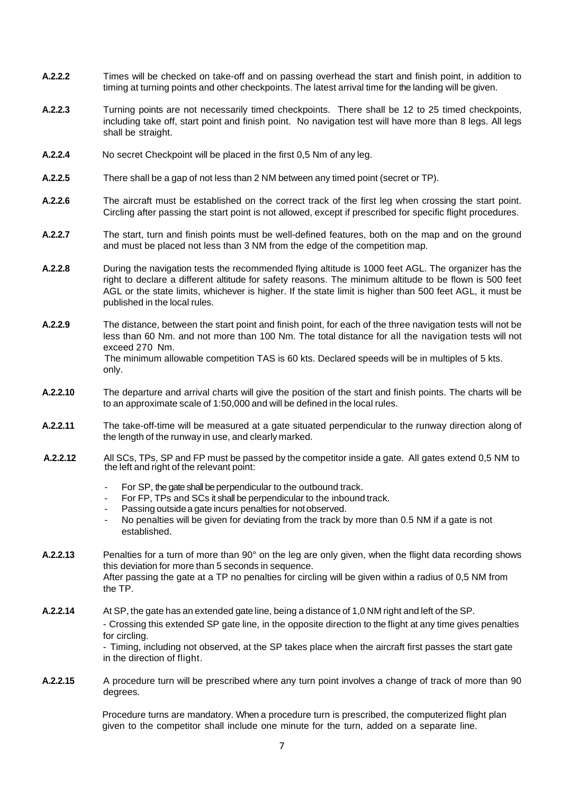- **A.2.2.2** Times will be checked on take-off and on passing overhead the start and finish point, in addition to timing at turning points and other checkpoints. The latest arrival time for the landing will be given.
- **A.2.2.3** Turning points are not necessarily timed checkpoints. There shall be 12 to 25 timed checkpoints, including take off, start point and finish point. No navigation test will have more than 8 legs. All legs shall be straight.
- **A.2.2.4** No secret Checkpoint will be placed in the first 0,5 Nm of any leg.
- **A.2.2.5** There shall be a gap of not less than 2 NM between any timed point (secret or TP).
- **A.2.2.6** The aircraft must be established on the correct track of the first leg when crossing the start point. Circling after passing the start point is not allowed, except if prescribed for specific flight procedures.
- **A.2.2.7** The start, turn and finish points must be well-defined features, both on the map and on the ground and must be placed not less than 3 NM from the edge of the competition map.
- **A.2.2.8** During the navigation tests the recommended flying altitude is 1000 feet AGL. The organizer has the right to declare a different altitude for safety reasons. The minimum altitude to be flown is 500 feet AGL or the state limits, whichever is higher. If the state limit is higher than 500 feet AGL, it must be published in the local rules.
- **A.2.2.9** The distance, between the start point and finish point, for each of the three navigation tests will not be less than 60 Nm. and not more than 100 Nm. The total distance for all the navigation tests will not exceed 270 Nm. The minimum allowable competition TAS is 60 kts. Declared speeds will be in multiples of 5 kts. only.
- **A.2.2.10** The departure and arrival charts will give the position of the start and finish points. The charts will be to an approximate scale of 1:50,000 and will be defined in the local rules.
- **A.2.2.11** The take-off-time will be measured at a gate situated perpendicular to the runway direction along of the length of the runway in use, and clearly marked.
- **A.2.2.12** All SCs, TPs, SP and FP must be passed by the competitor inside a gate. All gates extend 0,5 NM to the left and right of the relevant point:
	- For SP, the gate shall be perpendicular to the outbound track.
	- For FP, TPs and SCs it shall be perpendicular to the inbound track.
	- Passing outside a gate incurs penalties for not observed.
	- No penalties will be given for deviating from the track by more than 0.5 NM if a gate is not established.

**A.2.2.13** Penalties for a turn of more than 90° on the leg are only given, when the flight data recording shows this deviation for more than 5 seconds in sequence. After passing the gate at a TP no penalties for circling will be given within a radius of 0,5 NM from the TP.

**A.2.2.14** At SP, the gate has an extended gate line, being a distance of 1,0 NM right and left of the SP. - Crossing this extended SP gate line, in the opposite direction to the flight at any time gives penalties for circling.

- Timing, including not observed, at the SP takes place when the aircraft first passes the start gate in the direction of flight.

**A.2.2.15** A procedure turn will be prescribed where any turn point involves a change of track of more than 90 degrees.

> Procedure turns are mandatory. When a procedure turn is prescribed, the computerized flight plan given to the competitor shall include one minute for the turn, added on a separate line.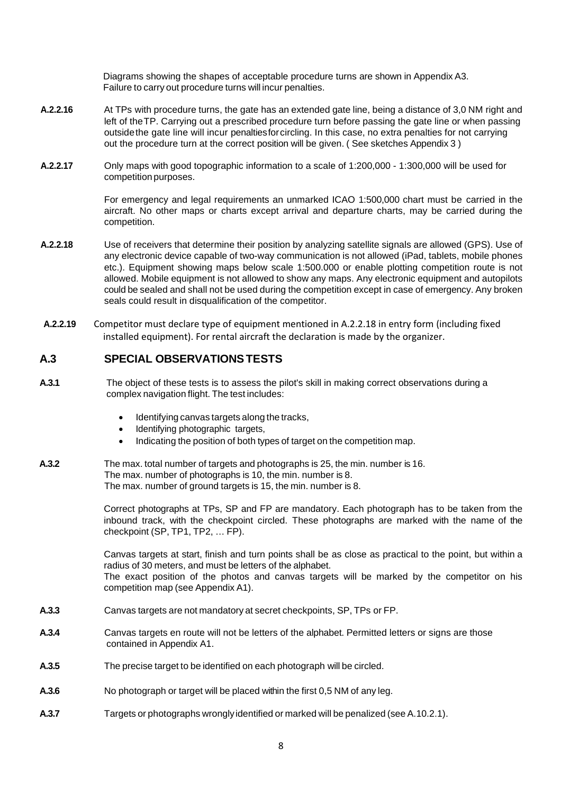Diagrams showing the shapes of acceptable procedure turns are shown in Appendix A3. Failure to carry out procedure turns will incur penalties.

- **A.2.2.16** At TPs with procedure turns, the gate has an extended gate line, being a distance of 3,0 NM right and left of theTP. Carrying out a prescribed procedure turn before passing the gate line or when passing outsidethe gate line will incur penaltiesforcircling. In this case, no extra penalties for not carrying out the procedure turn at the correct position will be given. ( See sketches Appendix 3 )
- **A.2.2.17** Only maps with good topographic information to a scale of 1:200,000 1:300,000 will be used for competition purposes.

For emergency and legal requirements an unmarked ICAO 1:500,000 chart must be carried in the aircraft. No other maps or charts except arrival and departure charts, may be carried during the competition.

- **A.2.2.18** Use of receivers that determine their position by analyzing satellite signals are allowed (GPS). Use of any electronic device capable of two-way communication is not allowed (iPad, tablets, mobile phones etc.). Equipment showing maps below scale 1:500.000 or enable plotting competition route is not allowed. Mobile equipment is not allowed to show any maps. Any electronic equipment and autopilots could be sealed and shall not be used during the competition except in case of emergency. Any broken seals could result in disqualification of the competitor.
- **A.2.2.19** Competitor must declare type of equipment mentioned in A.2.2.18 in entry form (including fixed installed equipment). For rental aircraft the declaration is made by the organizer.

#### <span id="page-10-0"></span>**A.3 SPECIAL OBSERVATIONSTESTS**

- **A.3.1** The object of these tests is to assess the pilot's skill in making correct observations during a complex navigation flight. The test includes:
	- Identifying canvas targets along the tracks,
	- Identifying photographic targets,
	- Indicating the position of both types of target on the competition map.

**A.3.2** The max. total number of targets and photographs is 25, the min. number is 16. The max. number of photographs is 10, the min. number is 8. The max. number of ground targets is 15, the min. number is 8.

> Correct photographs at TPs, SP and FP are mandatory. Each photograph has to be taken from the inbound track, with the checkpoint circled. These photographs are marked with the name of the checkpoint (SP, TP1, TP2, … FP).

> Canvas targets at start, finish and turn points shall be as close as practical to the point, but within a radius of 30 meters, and must be letters of the alphabet. The exact position of the photos and canvas targets will be marked by the competitor on his competition map (see Appendix A1).

- **A.3.3** Canvas targets are not mandatory at secret checkpoints, SP, TPs or FP.
- **A.3.4** Canvas targets en route will not be letters of the alphabet. Permitted letters or signs are those contained in Appendix A1.
- **A.3.5** The precise target to be identified on each photograph will be circled.
- **A.3.6** No photograph or target will be placed within the first 0,5 NM of any leg.
- **A.3.7** Targets or photographs wronglyidentified or marked will be penalized (see A.10.2.1).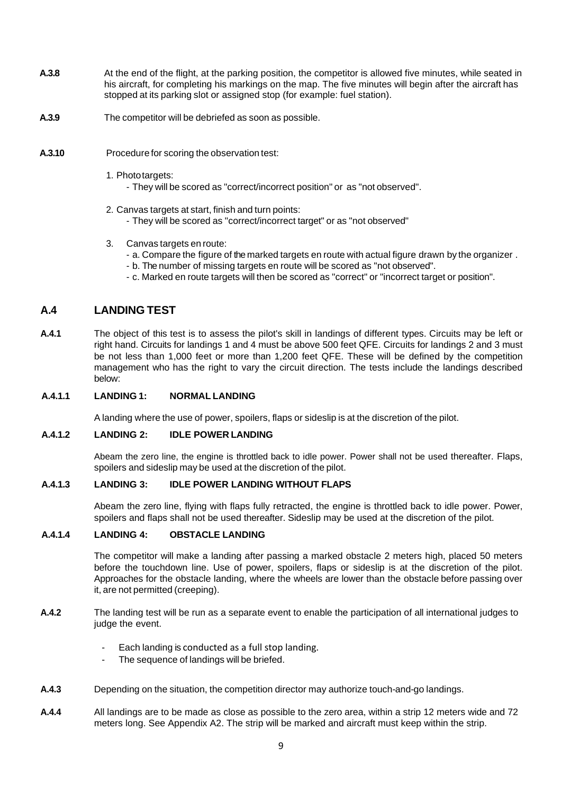- **A.3.8** At the end of the flight, at the parking position, the competitor is allowed five minutes, while seated in his aircraft, for completing his markings on the map. The five minutes will begin after the aircraft has stopped at its parking slot or assigned stop (for example: fuel station).
- **A.3.9** The competitor will be debriefed as soon as possible.
- **A.3.10** Procedure for scoring the observation test:
	- 1. Phototargets:
		- They will be scored as "correct/incorrect position" or as "not observed".
	- 2. Canvas targets at start, finish and turn points:
		- They will be scored as "correct/incorrect target" or as "not observed"
	- 3. Canvas targets en route:
		- a. Compare the figure of the marked targets en route with actual figure drawn by the organizer .
		- b. The number of missing targets en route will be scored as "not observed".
		- c. Marked en route targets will then be scored as "correct" or "incorrect target or position".

#### <span id="page-11-0"></span>**A.4 LANDING TEST**

**A.4.1** The object of this test is to assess the pilot's skill in landings of different types. Circuits may be left or right hand. Circuits for landings 1 and 4 must be above 500 feet QFE. Circuits for landings 2 and 3 must be not less than 1,000 feet or more than 1,200 feet QFE. These will be defined by the competition management who has the right to vary the circuit direction. The tests include the landings described below:

#### **A.4.1.1 LANDING 1: NORMAL LANDING**

A landing where the use of power, spoilers, flaps or sideslip is at the discretion of the pilot.

#### **A.4.1.2 LANDING 2: IDLE POWER LANDING**

Abeam the zero line, the engine is throttled back to idle power. Power shall not be used thereafter. Flaps, spoilers and sideslip may be used at the discretion of the pilot.

#### **A.4.1.3 LANDING 3: IDLE POWER LANDING WITHOUT FLAPS**

Abeam the zero line, flying with flaps fully retracted, the engine is throttled back to idle power. Power, spoilers and flaps shall not be used thereafter. Sideslip may be used at the discretion of the pilot.

#### **A.4.1.4 LANDING 4: OBSTACLE LANDING**

The competitor will make a landing after passing a marked obstacle 2 meters high, placed 50 meters before the touchdown line. Use of power, spoilers, flaps or sideslip is at the discretion of the pilot. Approaches for the obstacle landing, where the wheels are lower than the obstacle before passing over it, are not permitted (creeping).

- **A.4.2** The landing test will be run as a separate event to enable the participation of all international judges to judge the event.
	- Each landing is conducted as a full stop landing.
	- The sequence of landings will be briefed.
- **A.4.3** Depending on the situation, the competition director may authorize touch-and-go landings.
- **A.4.4** All landings are to be made as close as possible to the zero area, within a strip 12 meters wide and 72 meters long. See Appendix A2. The strip will be marked and aircraft must keep within the strip.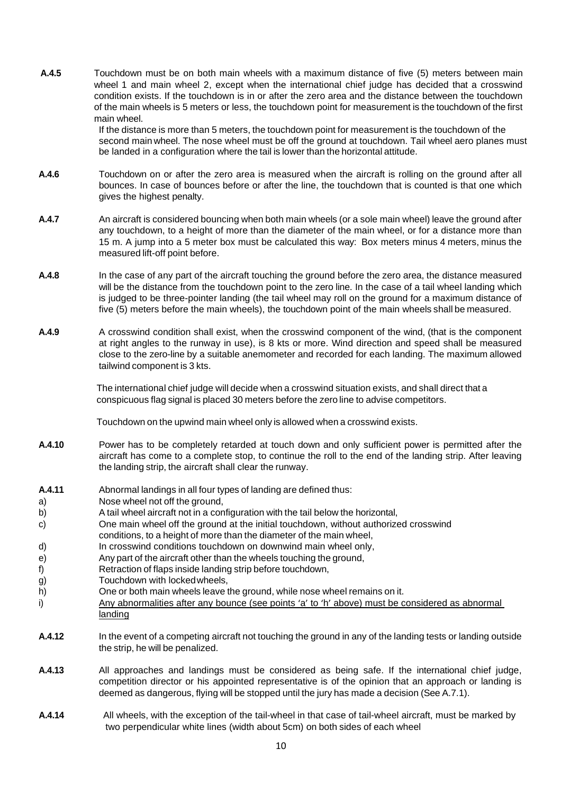**A.4.5** Touchdown must be on both main wheels with a maximum distance of five (5) meters between main wheel 1 and main wheel 2, except when the international chief judge has decided that a crosswind condition exists. If the touchdown is in or after the zero area and the distance between the touchdown of the main wheels is 5 meters or less, the touchdown point for measurement is the touchdown of the first main wheel.

> If the distance is more than 5 meters, the touchdown point for measurement is the touchdown of the second main wheel. The nose wheel must be off the ground at touchdown. Tail wheel aero planes must be landed in a configuration where the tail is lower than the horizontal attitude.

- **A.4.6** Touchdown on or after the zero area is measured when the aircraft is rolling on the ground after all bounces. In case of bounces before or after the line, the touchdown that is counted is that one which gives the highest penalty.
- **A.4.7** An aircraft is considered bouncing when both main wheels (or a sole main wheel) leave the ground after any touchdown, to a height of more than the diameter of the main wheel, or for a distance more than 15 m. A jump into a 5 meter box must be calculated this way: Box meters minus 4 meters, minus the measured lift-off point before.
- **A.4.8** In the case of any part of the aircraft touching the ground before the zero area, the distance measured will be the distance from the touchdown point to the zero line. In the case of a tail wheel landing which is judged to be three-pointer landing (the tail wheel may roll on the ground for a maximum distance of five (5) meters before the main wheels), the touchdown point of the main wheels shall be measured.
- **A.4.9** A crosswind condition shall exist, when the crosswind component of the wind, (that is the component at right angles to the runway in use), is 8 kts or more. Wind direction and speed shall be measured close to the zero-line by a suitable anemometer and recorded for each landing. The maximum allowed tailwind component is 3 kts.

The international chief judge will decide when a crosswind situation exists, and shall direct that a conspicuous flag signal is placed 30 meters before the zero line to advise competitors.

Touchdown on the upwind main wheel only is allowed when a crosswind exists.

- **A.4.10** Power has to be completely retarded at touch down and only sufficient power is permitted after the aircraft has come to a complete stop, to continue the roll to the end of the landing strip. After leaving the landing strip, the aircraft shall clear the runway.
- **A.4.11** Abnormal landings in all four types of landing are defined thus:
- a) Nose wheel not off the ground,
- b) A tail wheel aircraft not in a configuration with the tail below the horizontal,
- c) One main wheel off the ground at the initial touchdown, without authorized crosswind
- conditions, to a height of more than the diameter of the main wheel,
- d) In crosswind conditions touchdown on downwind main wheel only,
- e) Any part of the aircraft other than the wheels touching the ground,
- f) Retraction of flaps inside landing strip before touchdown,
- g) Touchdown with lockedwheels,
- h) One or both main wheels leave the ground, while nose wheel remains on it.
- i) Any abnormalities after any bounce (see points 'a' to 'h' above) must be considered as abnormal landing
- **A.4.12** In the event of a competing aircraft not touching the ground in any of the landing tests or landing outside the strip, he will be penalized.
- **A.4.13** All approaches and landings must be considered as being safe. If the international chief judge, competition director or his appointed representative is of the opinion that an approach or landing is deemed as dangerous, flying will be stopped until the jury has made a decision (See A.7.1).
- **A.4.14** All wheels, with the exception of the tail-wheel in that case of tail-wheel aircraft, must be marked by two perpendicular white lines (width about 5cm) on both sides of each wheel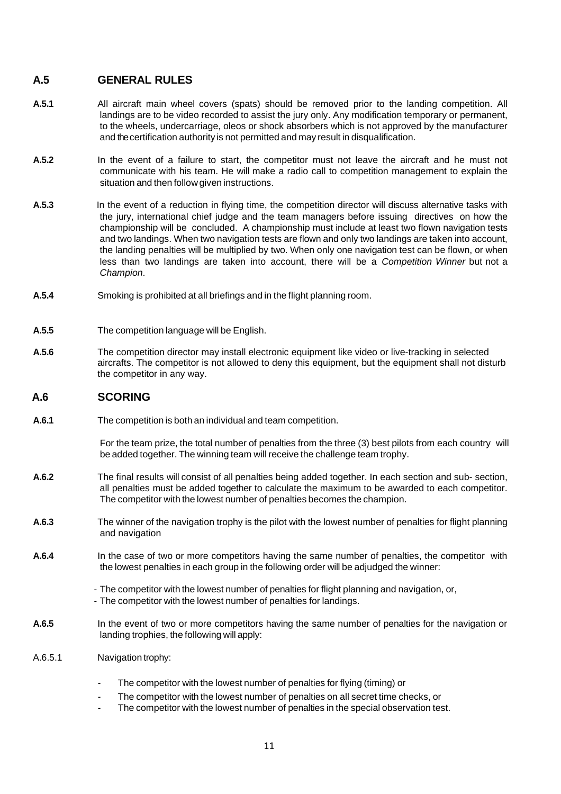#### <span id="page-13-0"></span>**A.5 GENERAL RULES**

- **A.5.1** All aircraft main wheel covers (spats) should be removed prior to the landing competition. All landings are to be video recorded to assist the jury only. Any modification temporary or permanent, to the wheels, undercarriage, oleos or shock absorbers which is not approved by the manufacturer and the certification authority is not permitted and may result in disqualification.
- **A.5.2** In the event of a failure to start, the competitor must not leave the aircraft and he must not communicate with his team. He will make a radio call to competition management to explain the situation and then follow given instructions.
- **A.5.3** In the event of a reduction in flying time, the competition director will discuss alternative tasks with the jury, international chief judge and the team managers before issuing directives on how the championship will be concluded. A championship must include at least two flown navigation tests and two landings. When two navigation tests are flown and only two landings are taken into account, the landing penalties will be multiplied by two. When only one navigation test can be flown, or when less than two landings are taken into account, there will be a *Competition Winner* but not a *Champion*.
- **A.5.4** Smoking is prohibited at all briefings and in the flight planning room.
- **A.5.5** The competition language will be English.
- **A.5.6** The competition director may install electronic equipment like video or live-tracking in selected aircrafts. The competitor is not allowed to deny this equipment, but the equipment shall not disturb the competitor in any way.

#### <span id="page-13-1"></span>**A.6 SCORING**

**A.6.1** The competition is both an individual and team competition.

For the team prize, the total number of penalties from the three (3) best pilots from each country will be added together. The winning team will receive the challenge team trophy.

- **A.6.2** The final results will consist of all penalties being added together. In each section and sub- section, all penalties must be added together to calculate the maximum to be awarded to each competitor. The competitor with the lowest number of penalties becomes the champion.
- **A.6.3** The winner of the navigation trophy is the pilot with the lowest number of penalties for flight planning and navigation
- **A.6.4** In the case of two or more competitors having the same number of penalties, the competitor with the lowest penalties in each group in the following order will be adjudged the winner:
	- The competitor with the lowest number of penalties for flight planning and navigation, or,
	- The competitor with the lowest number of penalties for landings.
- **A.6.5** In the event of two or more competitors having the same number of penalties for the navigation or landing trophies, the following will apply:
- A.6.5.1 Navigation trophy:
	- The competitor with the lowest number of penalties for flying (timing) or
	- The competitor with the lowest number of penalties on all secret time checks, or
	- The competitor with the lowest number of penalties in the special observation test.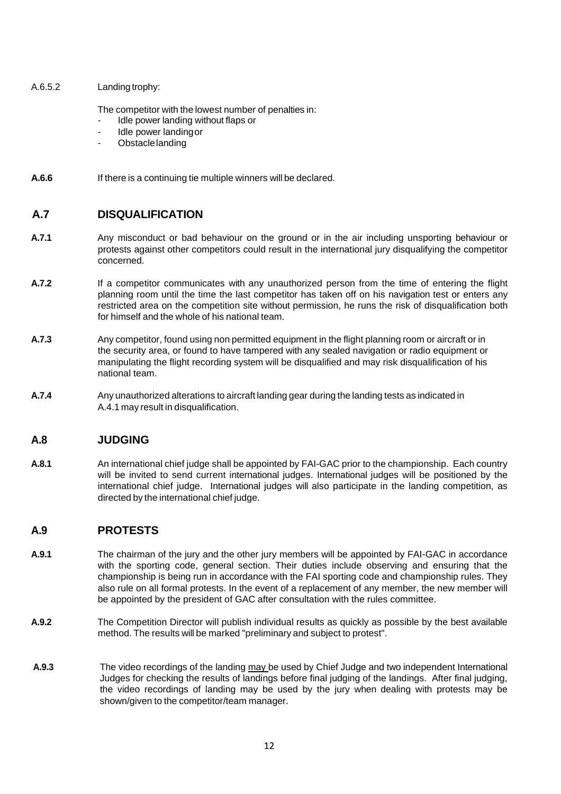A.6.5.2 Landing trophy:

The competitor with the lowest number of penalties in:

- Idle power landing without flaps or
- Idle power landingor
- Obstacle landing

**A.6.6** If there is a continuing tie multiple winners will be declared.

#### **A.7 DISQUALIFICATION**

- **A.7.1** Any misconduct or bad behaviour on the ground or in the air including unsporting behaviour or protests against other competitors could result in the international jury disqualifying the competitor concerned.
- **A.7.2** If a competitor communicates with any unauthorized person from the time of entering the flight planning room until the time the last competitor has taken off on his navigation test or enters any restricted area on the competition site without permission, he runs the risk of disqualification both for himself and the whole of his national team.
- **A.7.3** Any competitor, found using non permitted equipment in the flight planning room or aircraft or in the security area, or found to have tampered with any sealed navigation or radio equipment or manipulating the flight recording system will be disqualified and may risk disqualification of his national team.
- **A.7.4** Any unauthorized alterations to aircraft landing gear during the landing tests as indicated in A.4.1 may result in disqualification.

#### <span id="page-14-0"></span>**A.8 JUDGING**

**A.8.1** An international chief judge shall be appointed by FAI-GAC prior to the championship. Each country will be invited to send current international judges. International judges will be positioned by the international chief judge. International judges will also participate in the landing competition, as directed by the international chief judge.

#### <span id="page-14-1"></span>**A.9 PROTESTS**

- **A.9.1** The chairman of the jury and the other jury members will be appointed by FAI-GAC in accordance with the sporting code, general section. Their duties include observing and ensuring that the championship is being run in accordance with the FAI sporting code and championship rules. They also rule on all formal protests. In the event of a replacement of any member, the new member will be appointed by the president of GAC after consultation with the rules committee.
- **A.9.2** The Competition Director will publish individual results as quickly as possible by the best available method. The results will be marked "preliminary and subject to protest".
- **A.9.3** The video recordings of the landing may be used by Chief Judge and two independent International Judges for checking the results of landings before final judging of the landings. After final judging, the video recordings of landing may be used by the jury when dealing with protests may be shown/given to the competitor/team manager.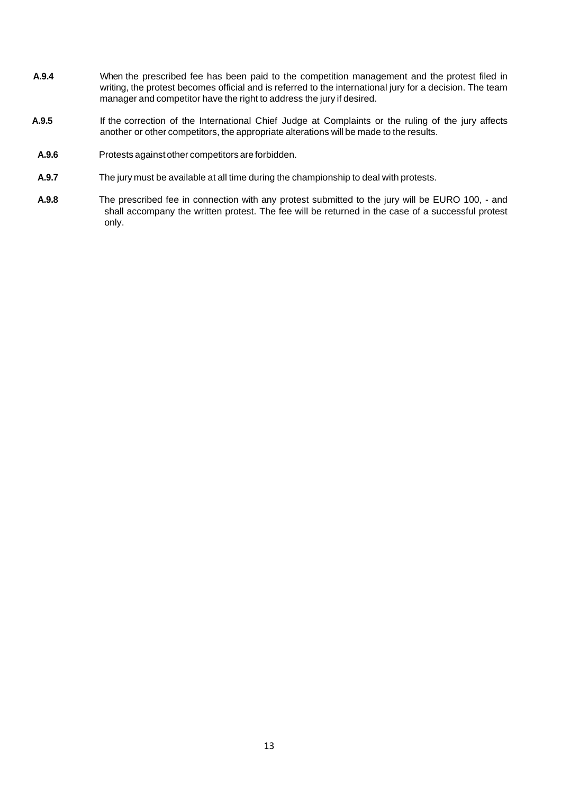- **A.9.4** When the prescribed fee has been paid to the competition management and the protest filed in writing, the protest becomes official and is referred to the international jury for a decision. The team manager and competitor have the right to address the jury if desired.
- **A.9.5** If the correction of the International Chief Judge at Complaints or the ruling of the jury affects another or other competitors, the appropriate alterations will be made to the results.
- **A.9.6** Protests against other competitors are forbidden.
- **A.9.7** The jury must be available at all time during the championship to deal with protests.
- **A.9.8** The prescribed fee in connection with any protest submitted to the jury will be EURO 100, and shall accompany the written protest. The fee will be returned in the case of a successful protest only.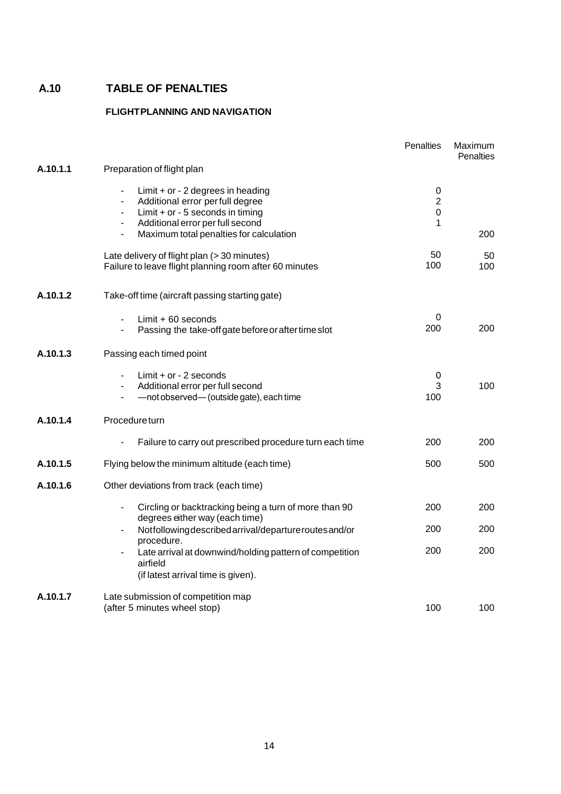#### **A.10 TABLE OF PENALTIES**

#### **FLIGHTPLANNING AND NAVIGATION**

|          |                                                                                                                                                                                                                                                         | <b>Penalties</b>                             | Maximum<br><b>Penalties</b> |
|----------|---------------------------------------------------------------------------------------------------------------------------------------------------------------------------------------------------------------------------------------------------------|----------------------------------------------|-----------------------------|
| A.10.1.1 | Preparation of flight plan                                                                                                                                                                                                                              |                                              |                             |
|          | Limit $+$ or $-$ 2 degrees in heading<br>Additional error per full degree<br>$\overline{\phantom{a}}$<br>Limit $+$ or $-5$ seconds in timing<br>$\overline{\phantom{a}}$<br>Additional error per full second<br>Maximum total penalties for calculation | 0<br>$\overline{2}$<br>$\boldsymbol{0}$<br>1 | 200                         |
|          | Late delivery of flight plan (> 30 minutes)<br>Failure to leave flight planning room after 60 minutes                                                                                                                                                   | 50<br>100                                    | 50<br>100                   |
| A.10.1.2 | Take-off time (aircraft passing starting gate)                                                                                                                                                                                                          |                                              |                             |
|          | $Limit + 60 seconds$<br>Passing the take-off gate before or after time slot                                                                                                                                                                             | $\mathbf 0$<br>200                           | 200                         |
| A.10.1.3 | Passing each timed point                                                                                                                                                                                                                                |                                              |                             |
|          | Limit $+$ or $-$ 2 seconds<br>Additional error per full second<br>-not observed-(outside gate), each time                                                                                                                                               | 0<br>3<br>100                                | 100                         |
| A.10.1.4 | Procedureturn                                                                                                                                                                                                                                           |                                              |                             |
|          | Failure to carry out prescribed procedure turn each time                                                                                                                                                                                                | 200                                          | 200                         |
| A.10.1.5 | Flying below the minimum altitude (each time)                                                                                                                                                                                                           | 500                                          | 500                         |
| A.10.1.6 | Other deviations from track (each time)                                                                                                                                                                                                                 |                                              |                             |
|          | Circling or backtracking being a turn of more than 90<br>degrees either way (each time)                                                                                                                                                                 | 200                                          | 200                         |
|          | Notfollowing described arrival/departure routes and/or<br>procedure.                                                                                                                                                                                    | 200                                          | 200                         |
|          | Late arrival at downwind/holding pattern of competition<br>airfield<br>(if latest arrival time is given).                                                                                                                                               | 200                                          | 200                         |
| A.10.1.7 | Late submission of competition map<br>(after 5 minutes wheel stop)                                                                                                                                                                                      | 100                                          | 100                         |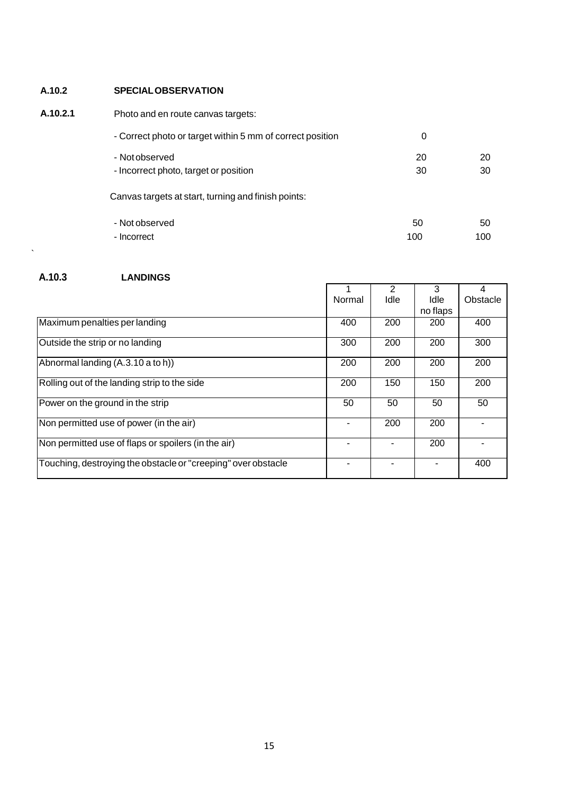#### **A.10.2 SPECIALOBSERVATION**

#### **A.10.2.1** Photo and en route canvas targets:

| - Correct photo or target within 5 mm of correct position | O        |          |
|-----------------------------------------------------------|----------|----------|
| - Not observed<br>- Incorrect photo, target or position   | 20<br>30 | 20<br>30 |
| Canvas targets at start, turning and finish points:       |          |          |

| - Not observed | 50  | 50  |
|----------------|-----|-----|
| - Incorrect    | 100 | 100 |

#### **A.10.3 LANDINGS**

 $\hat{\mathbf{v}}$ 

|                                                               |        | 2    | 3        |          |
|---------------------------------------------------------------|--------|------|----------|----------|
|                                                               | Normal | Idle | Idle     | Obstacle |
|                                                               |        |      | no flaps |          |
| Maximum penalties per landing                                 | 400    | 200  | 200      | 400      |
| Outside the strip or no landing                               | 300    | 200  | 200      | 300      |
| Abnormal landing (A.3.10 a to h))                             | 200    | 200  | 200      | 200      |
| Rolling out of the landing strip to the side                  | 200    | 150  | 150      | 200      |
| Power on the ground in the strip                              | 50     | 50   | 50       | 50       |
| Non permitted use of power (in the air)                       |        | 200  | 200      |          |
| Non permitted use of flaps or spoilers (in the air)           |        |      | 200      |          |
| Touching, destroying the obstacle or "creeping" over obstacle |        |      |          | 400      |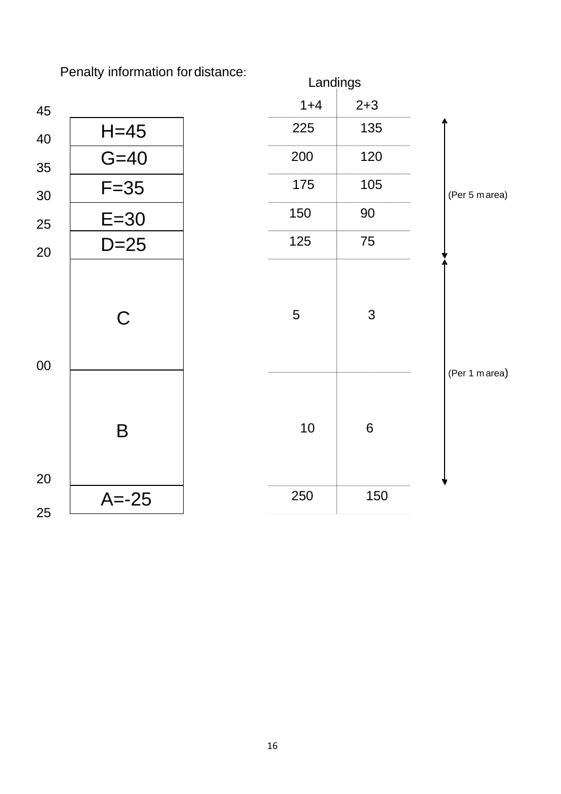### Penalty information for distance:

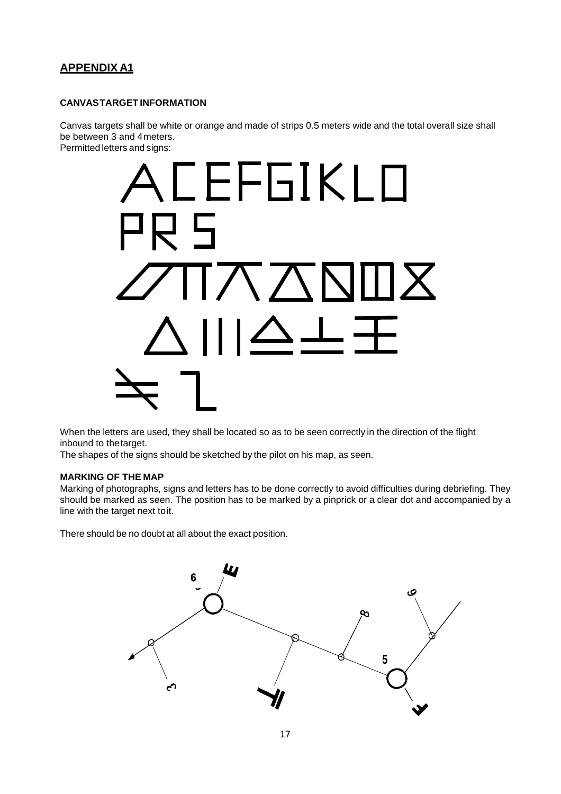#### **CANVASTARGET INFORMATION**

Canvas targets shall be white or orange and made of strips 0.5 meters wide and the total overall size shall be between 3 and 4meters.

Permitted letters and signs:



When the letters are used, they shall be located so as to be seen correctly in the direction of the flight inbound to thetarget.

The shapes of the signs should be sketched by the pilot on his map, as seen.

#### **MARKING OF THE MAP**

Marking of photographs, signs and letters has to be done correctly to avoid difficulties during debriefing. They should be marked as seen. The position has to be marked by a pinprick or a clear dot and accompanied by a line with the target next toit.

There should be no doubt at all about the exact position.

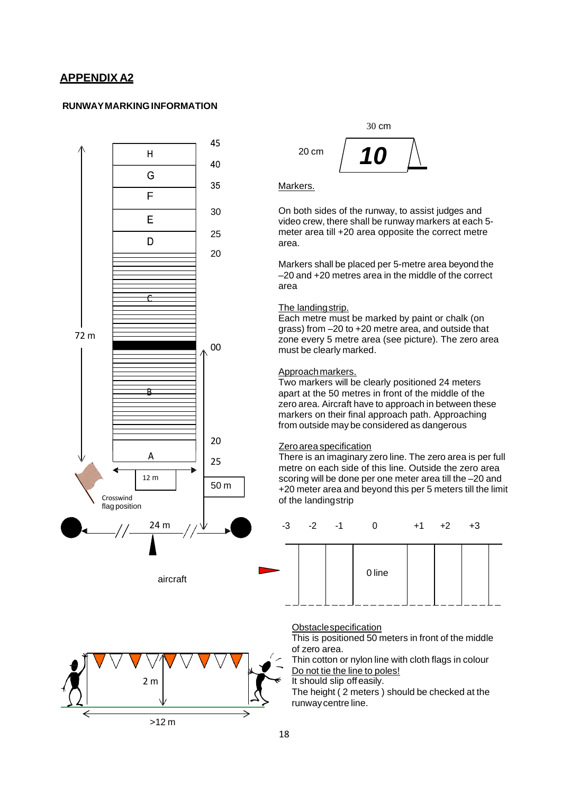#### **RUNWAYMARKINGINFORMATION**





#### Markers.

On both sides of the runway, to assist judges and video crew, there shall be runway markers at each 5 meter area till +20 area opposite the correct metre area.

Markers shall be placed per 5-metre area beyond the –20 and +20 metres area in the middle of the correct area

#### The landingstrip.

Each metre must be marked by paint or chalk (on grass) from –20 to +20 metre area, and outside that zone every 5 metre area (see picture). The zero area must be clearly marked.

#### Approachmarkers.

Two markers will be clearly positioned 24 meters apart at the 50 metres in front of the middle of the zero area. Aircraft have to approach in between these markers on their final approach path. Approaching from outside may be considered as dangerous

#### Zeroarea specification

There is an imaginary zero line. The zero area is per full metre on each side of this line. Outside the zero area scoring will be done per one meter area till the –20 and +20 meter area and beyond this per 5 meters till the limit of the landingstrip



|  | 0 line |  |  |
|--|--------|--|--|
|  |        |  |  |



#### Obstaclespecification

This is positioned 50 meters in front of the middle of zero area.

Thin cotton or nylon line with cloth flags in colour Do not tie the line to poles!

It should slip offeasily.

The height ( 2 meters ) should be checked at the runway centre line.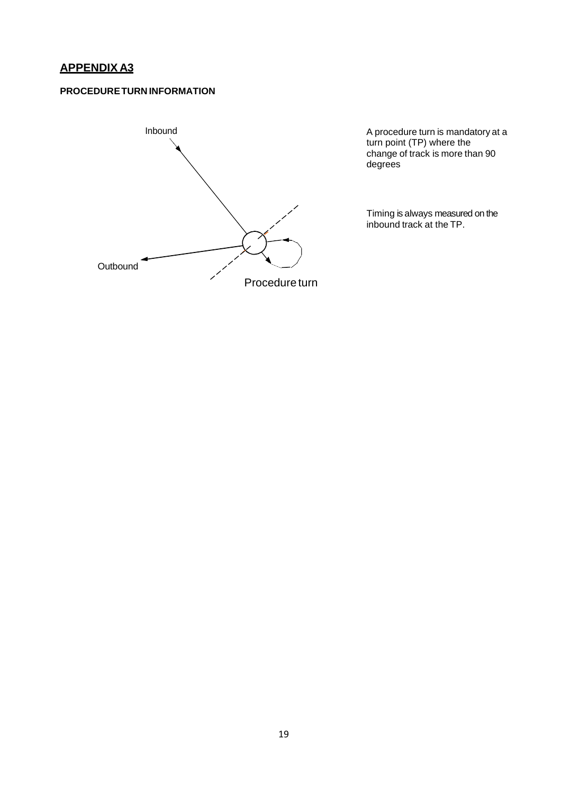#### **PROCEDURETURN INFORMATION**



turn point (TP) where the change of track is more than 90 degrees

Timing is always measured on the inbound track at the TP.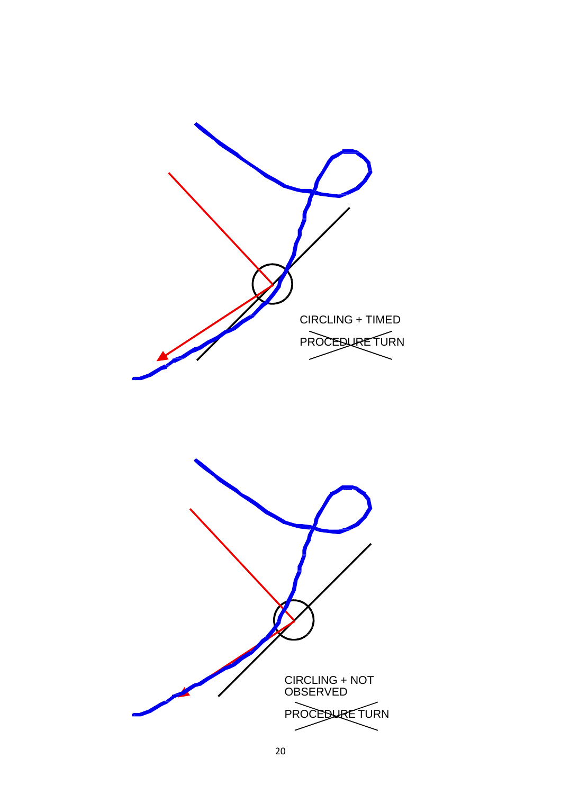

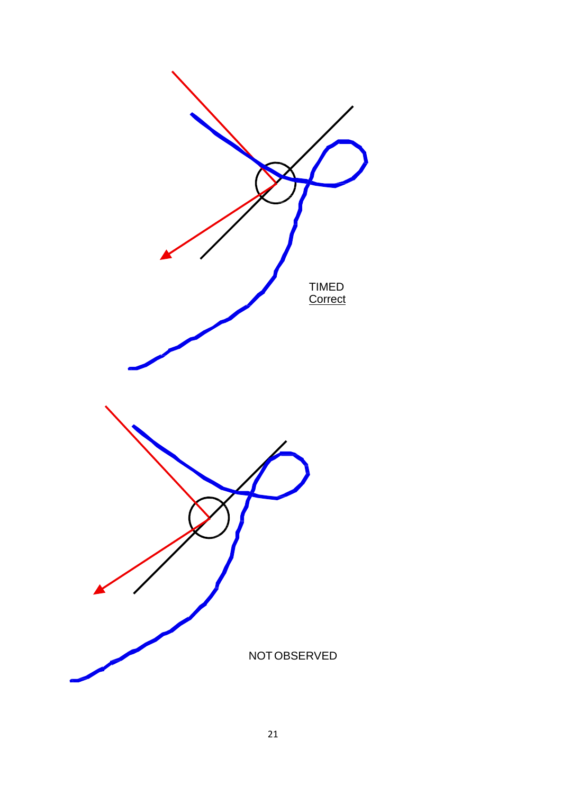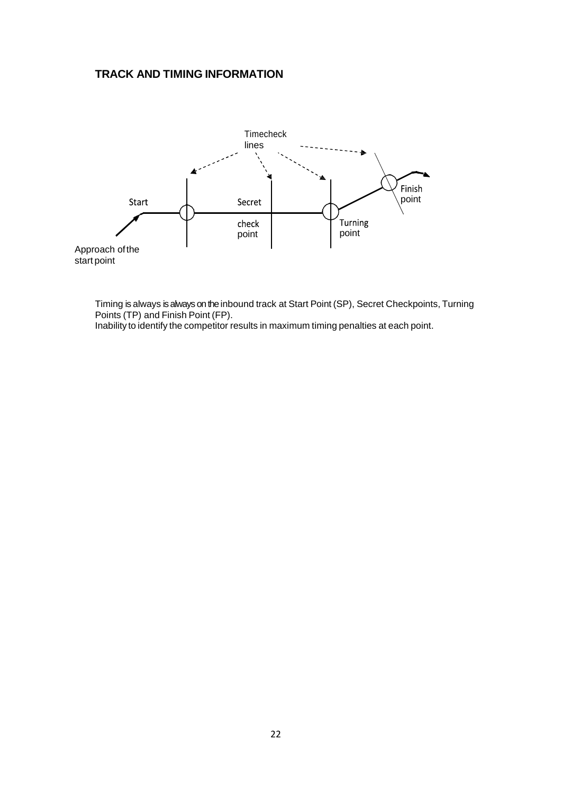#### **TRACK AND TIMING INFORMATION**



Timing is always is always on the inbound track at Start Point (SP), Secret Checkpoints, Turning Points (TP) and Finish Point (FP). Inability to identify the competitor results in maximum timing penalties at each point.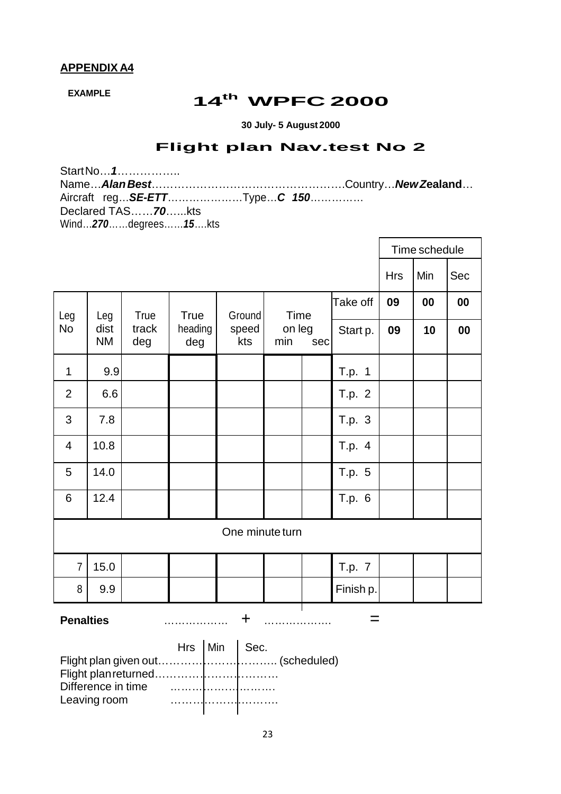## **EXAMPLE 14th WPFC 2000**

**30 July- 5 August 2000**

#### **Flight plan Nav.test No 2**

 $\Gamma$ 

٦

StartNo…*1*…………….. Name…*AlanBest*…………………………………………….Country…*New Z***ealand**… Aircraft reg…*SE-ETT*…………………Type…*C 150*…………… Declared TAS……*70*…...kts Wind…*270*……degrees……*15*….kts

|                                  |                   |              |                |              |               |     |           |            | Time schedule |     |
|----------------------------------|-------------------|--------------|----------------|--------------|---------------|-----|-----------|------------|---------------|-----|
|                                  |                   |              |                |              |               |     |           | <b>Hrs</b> | Min           | Sec |
| Leg                              | Leg               | True         | <b>True</b>    | Ground       | Time          |     | Take off  | 09         | 00            | 00  |
| <b>No</b>                        | dist<br><b>NM</b> | track<br>deg | heading<br>deg | speed<br>kts | on leg<br>min | sec | Start p.  | 09         | 10            | 00  |
| $\mathbf{1}$                     | 9.9               |              |                |              |               |     | T.p. 1    |            |               |     |
| $\overline{2}$                   | 6.6               |              |                |              |               |     | T.p. 2    |            |               |     |
| 3                                | 7.8               |              |                |              |               |     | T.p. 3    |            |               |     |
| $\overline{4}$                   | 10.8              |              |                |              |               |     | T.p. 4    |            |               |     |
| 5                                | 14.0              |              |                |              |               |     | T.p. 5    |            |               |     |
| 6                                | 12.4              |              |                |              |               |     | T.p. 6    |            |               |     |
| One minute turn                  |                   |              |                |              |               |     |           |            |               |     |
| $\overline{7}$                   | 15.0              |              |                |              |               |     | T.p. 7    |            |               |     |
| 8                                | 9.9               |              |                |              |               |     | Finish p. |            |               |     |
| $\ddag$<br><b>Penalties</b><br>ᆖ |                   |              |                |              |               |     |           |            |               |     |

|              | Hrs $\vert$ Min $\vert$ Sec. |  |
|--------------|------------------------------|--|
|              |                              |  |
|              |                              |  |
|              |                              |  |
| Leaving room |                              |  |

 $\overline{a}$ 

in L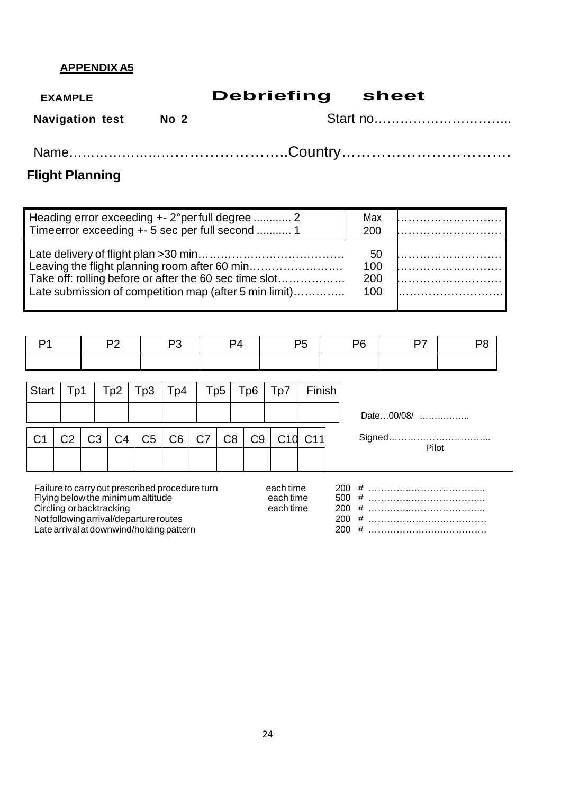**EXAMPLE Debriefing sheet**

**Navigation test 60 No 2 12 12 12 13 No 2 12 13 13 14 No 2 12 13 14 15 16 17 18 18 18 19 18 18 18 19 18 18 18 1** 

### **Flight Planning**

| Heading error exceeding +- 2°per full degree  2        | Max |   |
|--------------------------------------------------------|-----|---|
| Timeerror exceeding +- 5 sec per full second  1        | 200 |   |
|                                                        | 50  |   |
|                                                        | 100 |   |
| Take off: rolling before or after the 60 sec time slot | 200 | . |
| Late submission of competition map (after 5 min limit) | 100 |   |

|  | P2   P3   P4   P5   P6   P7   P8 |  |  |  |
|--|----------------------------------|--|--|--|
|  |                                  |  |  |  |

| <b>Start</b> | Tp1                                                                                                                                                                                                  |    | Tp2 | Tp3 | Tp4                                 | Tp5. |    | Tp6.           | Tp7 | <b>Finish</b>                   |            |
|--------------|------------------------------------------------------------------------------------------------------------------------------------------------------------------------------------------------------|----|-----|-----|-------------------------------------|------|----|----------------|-----|---------------------------------|------------|
|              |                                                                                                                                                                                                      |    |     |     |                                     |      |    |                |     |                                 | Date00/08/ |
| C1           | С2                                                                                                                                                                                                   | CЗ |     | C5  | C6                                  | C7   | C8 | C <sub>9</sub> |     | C <sub>10</sub> C <sub>11</sub> | Pilot      |
|              |                                                                                                                                                                                                      |    |     |     |                                     |      |    |                |     |                                 |            |
|              | Failure to carry out prescribed procedure turn<br>Flying below the minimum altitude<br>Circling orbacktracking<br>Not following arrival/departure routes<br>Late arrival at downwind/holding pattern |    |     |     | each time<br>each time<br>each time |      |    |                |     |                                 |            |

Late arrival at downwind/holding pattern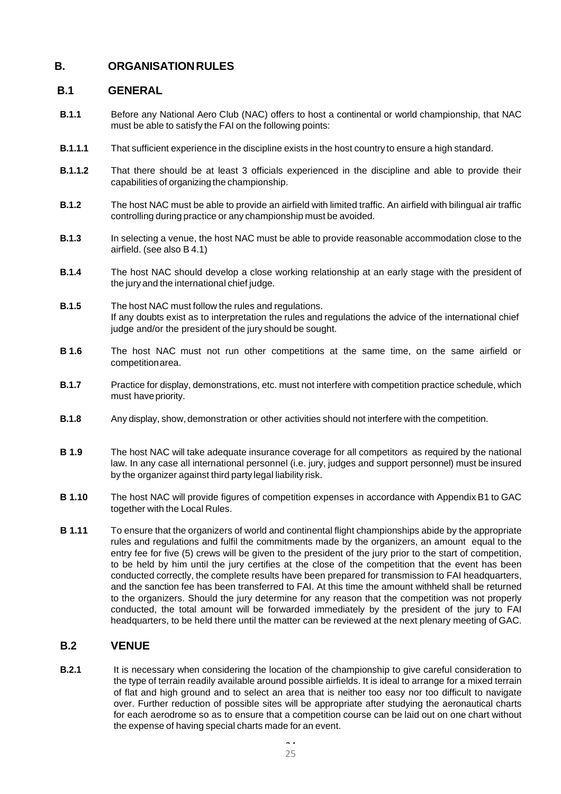#### <span id="page-27-0"></span>**B. ORGANISATIONRULES**

#### <span id="page-27-1"></span>**B.1 GENERAL**

- **B.1.1** Before any National Aero Club (NAC) offers to host a continental or world championship, that NAC must be able to satisfy the FAI on the following points:
- **B.1.1.1** That sufficient experience in the discipline exists in the host country to ensure a high standard.
- **B.1.1.2** That there should be at least 3 officials experienced in the discipline and able to provide their capabilities of organizing the championship.
- **B.1.2** The host NAC must be able to provide an airfield with limited traffic. An airfield with bilingual air traffic controlling during practice or any championship must be avoided.
- **B.1.3** In selecting a venue, the host NAC must be able to provide reasonable accommodation close to the airfield. (see also B 4.1)
- **B.1.4** The host NAC should develop a close working relationship at an early stage with the president of the jury and the international chief judge.
- **B.1.5** The host NAC must follow the rules and regulations. If any doubts exist as to interpretation the rules and regulations the advice of the international chief judge and/or the president of the jury should be sought.
- **B 1.6** The host NAC must not run other competitions at the same time, on the same airfield or competitionarea.
- **B.1.7** Practice for display, demonstrations, etc. must not interfere with competition practice schedule, which must havepriority.
- **B.1.8** Any display, show, demonstration or other activities should not interfere with the competition.
- **B 1.9** The host NAC will take adequate insurance coverage for all competitors as required by the national law. In any case all international personnel (i.e. jury, judges and support personnel) must be insured by the organizer against third party legal liability risk.
- **B 1.10** The host NAC will provide figures of competition expenses in accordance with Appendix B1 to GAC together with the Local Rules.
- **B 1.11** To ensure that the organizers of world and continental flight championships abide by the appropriate rules and regulations and fulfil the commitments made by the organizers, an amount equal to the entry fee for five (5) crews will be given to the president of the jury prior to the start of competition, to be held by him until the jury certifies at the close of the competition that the event has been conducted correctly, the complete results have been prepared for transmission to FAI headquarters, and the sanction fee has been transferred to FAI. At this time the amount withheld shall be returned to the organizers. Should the jury determine for any reason that the competition was not properly conducted, the total amount will be forwarded immediately by the president of the jury to FAI headquarters, to be held there until the matter can be reviewed at the next plenary meeting of GAC.

#### <span id="page-27-2"></span>**B.2 VENUE**

**B.2.1** It is necessary when considering the location of the championship to give careful consideration to the type of terrain readily available around possible airfields. It is ideal to arrange for a mixed terrain of flat and high ground and to select an area that is neither too easy nor too difficult to navigate over. Further reduction of possible sites will be appropriate after studying the aeronautical charts for each aerodrome so as to ensure that a competition course can be laid out on one chart without the expense of having special charts made for an event.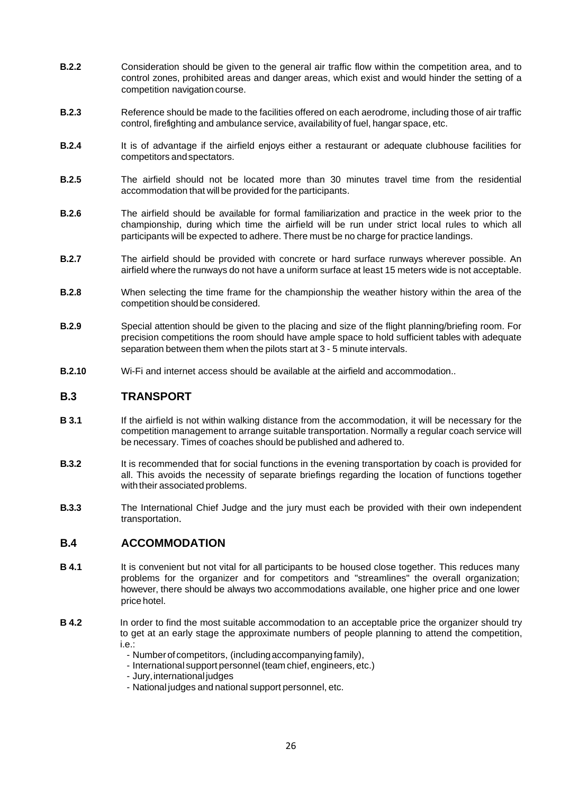- **B.2.2** Consideration should be given to the general air traffic flow within the competition area, and to control zones, prohibited areas and danger areas, which exist and would hinder the setting of a competition navigation course.
- **B.2.3** Reference should be made to the facilities offered on each aerodrome, including those of air traffic control, firefighting and ambulance service, availability of fuel, hangar space, etc.
- **B.2.4** It is of advantage if the airfield enjoys either a restaurant or adequate clubhouse facilities for competitors andspectators.
- **B.2.5** The airfield should not be located more than 30 minutes travel time from the residential accommodation that will be provided for the participants.
- **B.2.6** The airfield should be available for formal familiarization and practice in the week prior to the championship, during which time the airfield will be run under strict local rules to which all participants will be expected to adhere. There must be no charge for practice landings.
- **B.2.7** The airfield should be provided with concrete or hard surface runways wherever possible. An airfield where the runways do not have a uniform surface at least 15 meters wide is not acceptable.
- **B.2.8** When selecting the time frame for the championship the weather history within the area of the competition should be considered.
- **B.2.9** Special attention should be given to the placing and size of the flight planning/briefing room. For precision competitions the room should have ample space to hold sufficient tables with adequate separation between them when the pilots start at 3 - 5 minute intervals.
- **B.2.10** Wi-Fi and internet access should be available at the airfield and accommodation..

#### <span id="page-28-0"></span>**B.3 TRANSPORT**

- **B 3.1** If the airfield is not within walking distance from the accommodation, it will be necessary for the competition management to arrange suitable transportation. Normally a regular coach service will be necessary. Times of coaches should be published and adhered to.
- **B.3.2** It is recommended that for social functions in the evening transportation by coach is provided for all. This avoids the necessity of separate briefings regarding the location of functions together with their associated problems.
- **B.3.3** The International Chief Judge and the jury must each be provided with their own independent transportation.

#### <span id="page-28-1"></span>**B.4 ACCOMMODATION**

- **B 4.1** It is convenient but not vital for all participants to be housed close together. This reduces many problems for the organizer and for competitors and "streamlines" the overall organization; however, there should be always two accommodations available, one higher price and one lower price hotel.
- **B 4.2** In order to find the most suitable accommodation to an acceptable price the organizer should try to get at an early stage the approximate numbers of people planning to attend the competition, i.e.:
	- Number of competitors, (including accompanying family),
	- International support personnel(team chief, engineers, etc.)
	- Jury, international judges
	- National judges and national support personnel, etc.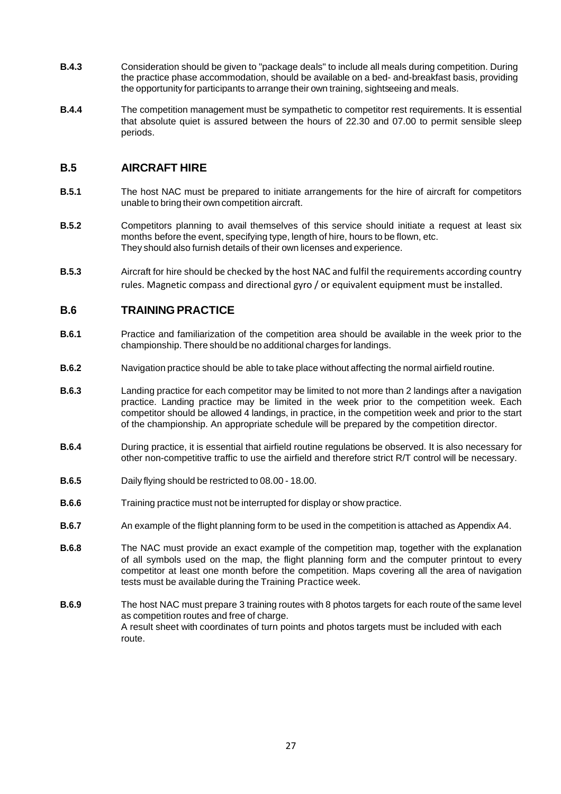- **B.4.3** Consideration should be given to "package deals" to include all meals during competition. During the practice phase accommodation, should be available on a bed- and-breakfast basis, providing the opportunity for participants to arrange their own training, sightseeing and meals.
- **B.4.4** The competition management must be sympathetic to competitor rest requirements. It is essential that absolute quiet is assured between the hours of 22.30 and 07.00 to permit sensible sleep periods.

#### <span id="page-29-0"></span>**B.5 AIRCRAFT HIRE**

- **B.5.1** The host NAC must be prepared to initiate arrangements for the hire of aircraft for competitors unable to bring their own competition aircraft.
- **B.5.2** Competitors planning to avail themselves of this service should initiate a request at least six months before the event, specifying type, length of hire, hours to be flown, etc. They should also furnish details of their own licenses and experience.
- **B.5.3** Aircraft for hire should be checked by the host NAC and fulfil the requirements according country rules. Magnetic compass and directional gyro / or equivalent equipment must be installed.

#### <span id="page-29-1"></span>**B.6 TRAINING PRACTICE**

- **B.6.1** Practice and familiarization of the competition area should be available in the week prior to the championship. There should be no additional charges for landings.
- **B.6.2** Navigation practice should be able to take place without affecting the normal airfield routine.
- **B.6.3** Landing practice for each competitor may be limited to not more than 2 landings after a navigation practice. Landing practice may be limited in the week prior to the competition week. Each competitor should be allowed 4 landings, in practice, in the competition week and prior to the start of the championship. An appropriate schedule will be prepared by the competition director.
- **B.6.4** During practice, it is essential that airfield routine regulations be observed. It is also necessary for other non-competitive traffic to use the airfield and therefore strict R/T control will be necessary.
- **B.6.5** Daily flying should be restricted to 08.00 18.00.
- **B.6.6** Training practice must not be interrupted for display or show practice.
- **B.6.7** An example of the flight planning form to be used in the competition is attached as Appendix A4.
- **B.6.8** The NAC must provide an exact example of the competition map, together with the explanation of all symbols used on the map, the flight planning form and the computer printout to every competitor at least one month before the competition. Maps covering all the area of navigation tests must be available during the Training Practice week.
- **B.6.9** The host NAC must prepare 3 training routes with 8 photos targets for each route of the same level as competition routes and free of charge. A result sheet with coordinates of turn points and photos targets must be included with each route.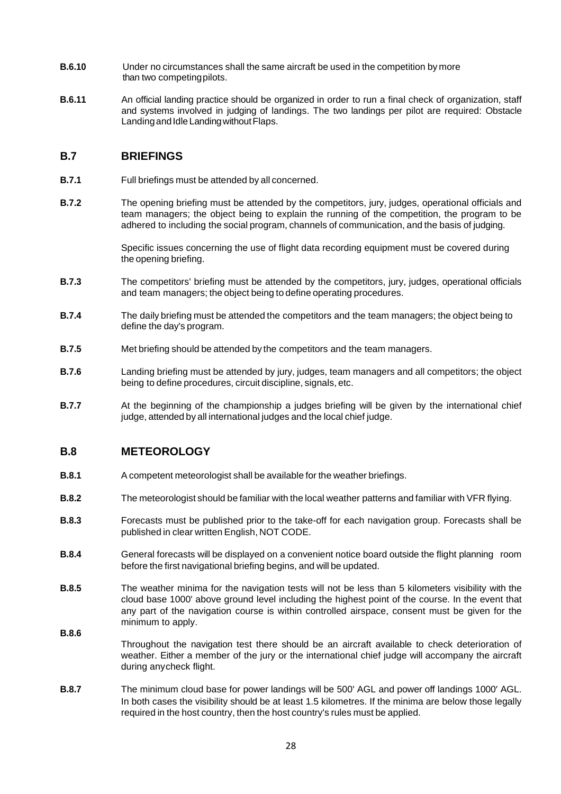- **B.6.10** Under no circumstances shall the same aircraft be used in the competition by more than two competingpilots.
- **B.6.11** An official landing practice should be organized in order to run a final check of organization, staff and systems involved in judging of landings. The two landings per pilot are required: Obstacle Landing and Idle Landing without Flaps.

#### **B.7 BRIEFINGS**

- **B.7.1** Full briefings must be attended by all concerned.
- **B.7.2** The opening briefing must be attended by the competitors, jury, judges, operational officials and team managers; the object being to explain the running of the competition, the program to be adhered to including the social program, channels of communication, and the basis of judging.

Specific issues concerning the use of flight data recording equipment must be covered during the opening briefing.

- **B.7.3** The competitors' briefing must be attended by the competitors, jury, judges, operational officials and team managers; the object being to define operating procedures.
- **B.7.4** The daily briefing must be attended the competitors and the team managers; the object being to define the day's program.
- **B.7.5** Met briefing should be attended by the competitors and the team managers.
- **B.7.6** Landing briefing must be attended by jury, judges, team managers and all competitors; the object being to define procedures, circuit discipline, signals, etc.
- **B.7.7** At the beginning of the championship a judges briefing will be given by the international chief judge, attended by all international judges and the local chief judge.

#### **B.8 METEOROLOGY**

- **B.8.1** A competent meteorologist shall be available for the weather briefings.
- **B.8.2** The meteorologist should be familiar with the local weather patterns and familiar with VFR flying.
- **B.8.3** Forecasts must be published prior to the take-off for each navigation group. Forecasts shall be published in clear written English, NOT CODE.
- **B.8.4** General forecasts will be displayed on a convenient notice board outside the flight planning room before the first navigational briefing begins, and will be updated.
- **B.8.5** The weather minima for the navigation tests will not be less than 5 kilometers visibility with the cloud base 1000' above ground level including the highest point of the course. In the event that any part of the navigation course is within controlled airspace, consent must be given for the minimum to apply. **B.8.6**
- Throughout the navigation test there should be an aircraft available to check deterioration of weather. Either a member of the jury or the international chief judge will accompany the aircraft during anycheck flight.
- **B.8.7** The minimum cloud base for power landings will be 500' AGL and power off landings 1000' AGL. In both cases the visibility should be at least 1.5 kilometres. If the minima are below those legally required in the host country, then the host country's rules must be applied.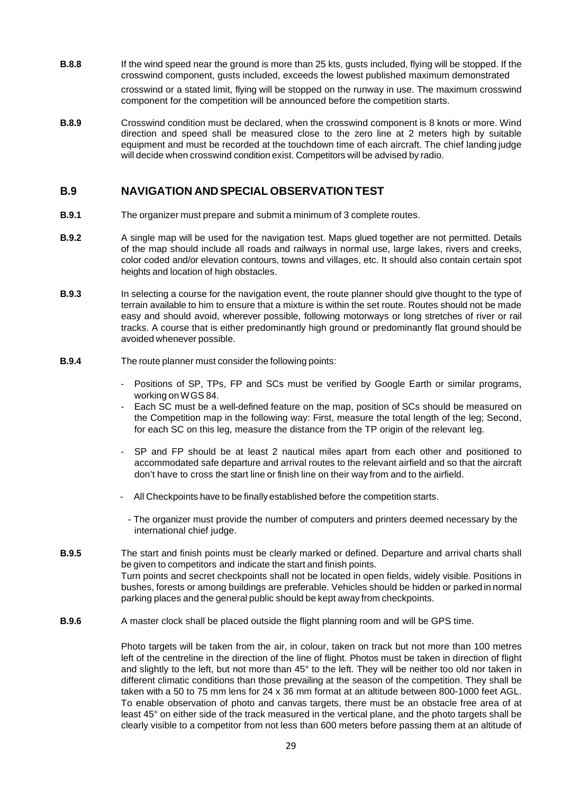- **B.8.8** If the wind speed near the ground is more than 25 kts, gusts included, flying will be stopped. If the crosswind component, gusts included, exceeds the lowest published maximum demonstrated crosswind or a stated limit, flying will be stopped on the runway in use. The maximum crosswind component for the competition will be announced before the competition starts.
- **B.8.9** Crosswind condition must be declared, when the crosswind component is 8 knots or more. Wind direction and speed shall be measured close to the zero line at 2 meters high by suitable equipment and must be recorded at the touchdown time of each aircraft. The chief landing judge will decide when crosswind condition exist. Competitors will be advised by radio.

#### **B.9 NAVIGATION AND SPECIAL OBSERVATION TEST**

- **B.9.1** The organizer must prepare and submit a minimum of 3 complete routes.
- **B.9.2** A single map will be used for the navigation test. Maps glued together are not permitted. Details of the map should include all roads and railways in normal use, large lakes, rivers and creeks, color coded and/or elevation contours, towns and villages, etc. It should also contain certain spot heights and location of high obstacles.
- **B.9.3** In selecting a course for the navigation event, the route planner should give thought to the type of terrain available to him to ensure that a mixture is within the set route. Routes should not be made easy and should avoid, wherever possible, following motorways or long stretches of river or rail tracks. A course that is either predominantly high ground or predominantly flat ground should be avoided whenever possible.
- **B.9.4** The route planner must consider the following points:
	- Positions of SP, TPs, FP and SCs must be verified by Google Earth or similar programs, working on W GS 84.
	- Each SC must be a well-defined feature on the map, position of SCs should be measured on the Competition map in the following way: First, measure the total length of the leg; Second, for each SC on this leg, measure the distance from the TP origin of the relevant leg.
	- SP and FP should be at least 2 nautical miles apart from each other and positioned to accommodated safe departure and arrival routes to the relevant airfield and so that the aircraft don't have to cross the start line or finish line on their way from and to the airfield.
	- All Checkpoints have to be finally established before the competition starts.
		- The organizer must provide the number of computers and printers deemed necessary by the international chief judge.
- **B.9.5** The start and finish points must be clearly marked or defined. Departure and arrival charts shall be given to competitors and indicate the start and finish points. Turn points and secret checkpoints shall not be located in open fields, widely visible. Positions in bushes, forests or among buildings are preferable. Vehicles should be hidden or parked in normal parking places and the general public should be kept away from checkpoints.
- **B.9.6** A master clock shall be placed outside the flight planning room and will be GPS time.

Photo targets will be taken from the air, in colour, taken on track but not more than 100 metres left of the centreline in the direction of the line of flight. Photos must be taken in direction of flight and slightly to the left, but not more than 45° to the left. They will be neither too old nor taken in different climatic conditions than those prevailing at the season of the competition. They shall be taken with a 50 to 75 mm lens for 24 x 36 mm format at an altitude between 800-1000 feet AGL. To enable observation of photo and canvas targets, there must be an obstacle free area of at least 45° on either side of the track measured in the vertical plane, and the photo targets shall be clearly visible to a competitor from not less than 600 meters before passing them at an altitude of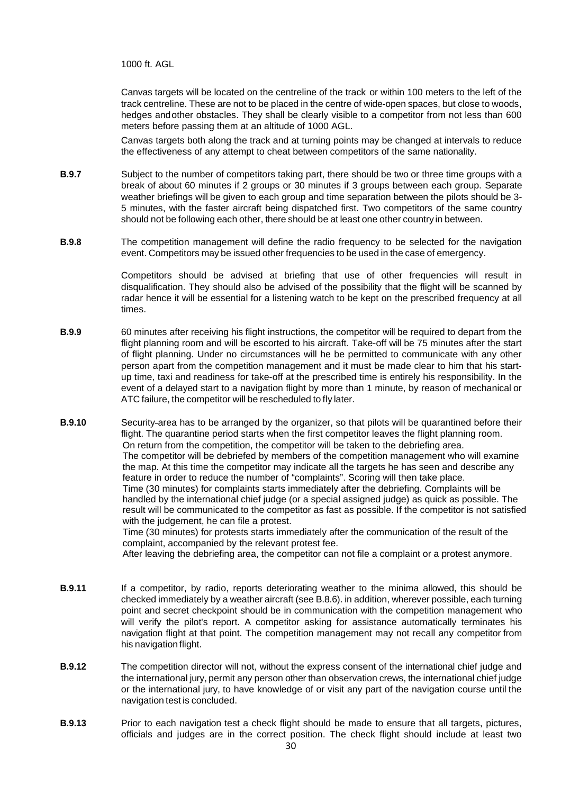1000 ft. AGL

Canvas targets will be located on the centreline of the track or within 100 meters to the left of the track centreline. These are not to be placed in the centre of wide-open spaces, but close to woods, hedges andother obstacles. They shall be clearly visible to a competitor from not less than 600 meters before passing them at an altitude of 1000 AGL.

Canvas targets both along the track and at turning points may be changed at intervals to reduce the effectiveness of any attempt to cheat between competitors of the same nationality.

- **B.9.7** Subject to the number of competitors taking part, there should be two or three time groups with a break of about 60 minutes if 2 groups or 30 minutes if 3 groups between each group. Separate weather briefings will be given to each group and time separation between the pilots should be 3- 5 minutes, with the faster aircraft being dispatched first. Two competitors of the same country should not be following each other, there should be at least one other country in between.
- **B.9.8** The competition management will define the radio frequency to be selected for the navigation event. Competitors may be issued other frequencies to be used in the case of emergency.

Competitors should be advised at briefing that use of other frequencies will result in disqualification. They should also be advised of the possibility that the flight will be scanned by radar hence it will be essential for a listening watch to be kept on the prescribed frequency at all times.

- **B.9.9** 60 minutes after receiving his flight instructions, the competitor will be required to depart from the flight planning room and will be escorted to his aircraft. Take-off will be 75 minutes after the start of flight planning. Under no circumstances will he be permitted to communicate with any other person apart from the competition management and it must be made clear to him that his startup time, taxi and readiness for take-off at the prescribed time is entirely his responsibility. In the event of a delayed start to a navigation flight by more than 1 minute, by reason of mechanical or ATC failure, the competitor will be rescheduled to fly later.
- **B.9.10** Security-area has to be arranged by the organizer, so that pilots will be quarantined before their flight. The quarantine period starts when the first competitor leaves the flight planning room. On return from the competition, the competitor will be taken to the debriefing area. The competitor will be debriefed by members of the competition management who will examine the map. At this time the competitor may indicate all the targets he has seen and describe any feature in order to reduce the number of "complaints". Scoring will then take place. Time (30 minutes) for complaints starts immediately after the debriefing. Complaints will be handled by the international chief judge (or a special assigned judge) as quick as possible. The result will be communicated to the competitor as fast as possible. If the competitor is not satisfied with the judgement, he can file a protest. Time (30 minutes) for protests starts immediately after the communication of the result of the complaint, accompanied by the relevant protest fee.

After leaving the debriefing area, the competitor can not file a complaint or a protest anymore.

- **B.9.11** If a competitor, by radio, reports deteriorating weather to the minima allowed, this should be checked immediately by a weather aircraft (see B.8.6). in addition, wherever possible, each turning point and secret checkpoint should be in communication with the competition management who will verify the pilot's report. A competitor asking for assistance automatically terminates his navigation flight at that point. The competition management may not recall any competitor from his navigation flight.
- **B.9.12** The competition director will not, without the express consent of the international chief judge and the international jury, permit any person other than observation crews, the international chief judge or the international jury, to have knowledge of or visit any part of the navigation course until the navigation test is concluded.
- **B.9.13** Prior to each navigation test a check flight should be made to ensure that all targets, pictures, officials and judges are in the correct position. The check flight should include at least two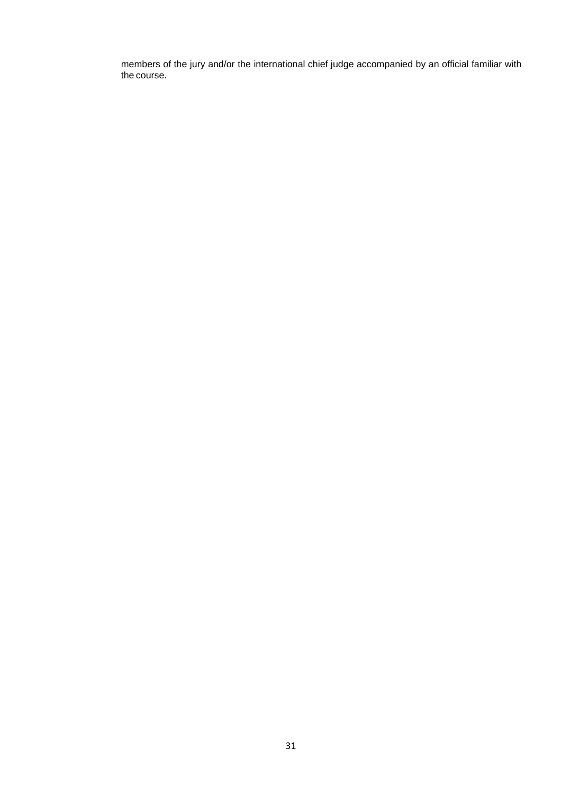members of the jury and/or the international chief judge accompanied by an official familiar with the course.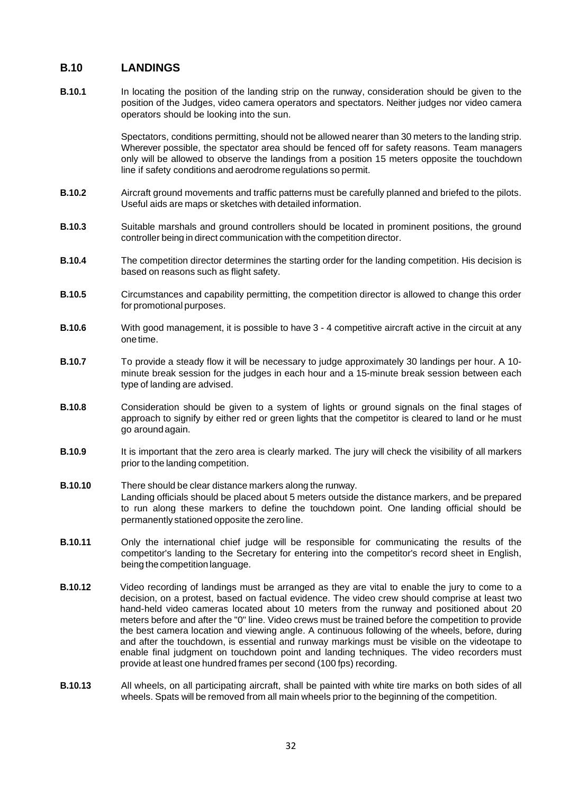#### **B.10 LANDINGS**

**B.10.1** In locating the position of the landing strip on the runway, consideration should be given to the position of the Judges, video camera operators and spectators. Neither judges nor video camera operators should be looking into the sun.

> Spectators, conditions permitting, should not be allowed nearer than 30 meters to the landing strip. Wherever possible, the spectator area should be fenced off for safety reasons. Team managers only will be allowed to observe the landings from a position 15 meters opposite the touchdown line if safety conditions and aerodrome regulations so permit.

- **B.10.2** Aircraft ground movements and traffic patterns must be carefully planned and briefed to the pilots. Useful aids are maps or sketches with detailed information.
- **B.10.3** Suitable marshals and ground controllers should be located in prominent positions, the ground controller being in direct communication with the competition director.
- **B.10.4** The competition director determines the starting order for the landing competition. His decision is based on reasons such as flight safety.
- **B.10.5** Circumstances and capability permitting, the competition director is allowed to change this order for promotional purposes.
- **B.10.6** With good management, it is possible to have 3 4 competitive aircraft active in the circuit at any onetime.
- **B.10.7** To provide a steady flow it will be necessary to judge approximately 30 landings per hour. A 10 minute break session for the judges in each hour and a 15-minute break session between each type of landing are advised.
- **B.10.8** Consideration should be given to a system of lights or ground signals on the final stages of approach to signify by either red or green lights that the competitor is cleared to land or he must go around again.
- **B.10.9** It is important that the zero area is clearly marked. The jury will check the visibility of all markers prior to the landing competition.
- **B.10.10** There should be clear distance markers along the runway. Landing officials should be placed about 5 meters outside the distance markers, and be prepared to run along these markers to define the touchdown point. One landing official should be permanently stationed opposite the zero line.
- **B.10.11** Only the international chief judge will be responsible for communicating the results of the competitor's landing to the Secretary for entering into the competitor's record sheet in English, being the competition language.
- **B.10.12** Video recording of landings must be arranged as they are vital to enable the jury to come to a decision, on a protest, based on factual evidence. The video crew should comprise at least two hand-held video cameras located about 10 meters from the runway and positioned about 20 meters before and after the "0" line. Video crews must be trained before the competition to provide the best camera location and viewing angle. A continuous following of the wheels, before, during and after the touchdown, is essential and runway markings must be visible on the videotape to enable final judgment on touchdown point and landing techniques. The video recorders must provide at least one hundred frames per second (100 fps) recording.
- **B.10.13** All wheels, on all participating aircraft, shall be painted with white tire marks on both sides of all wheels. Spats will be removed from all main wheels prior to the beginning of the competition.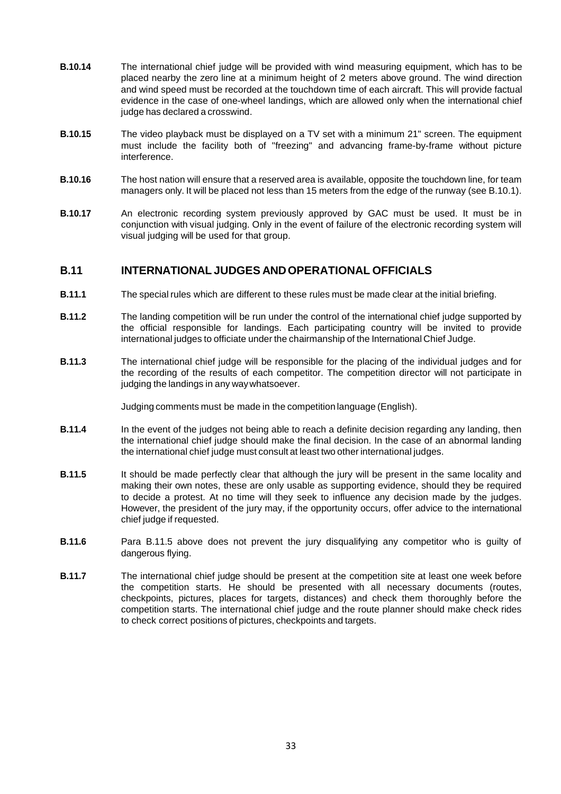- **B.10.14** The international chief judge will be provided with wind measuring equipment, which has to be placed nearby the zero line at a minimum height of 2 meters above ground. The wind direction and wind speed must be recorded at the touchdown time of each aircraft. This will provide factual evidence in the case of one-wheel landings, which are allowed only when the international chief judge has declared a crosswind.
- **B.10.15** The video playback must be displayed on a TV set with a minimum 21" screen. The equipment must include the facility both of "freezing" and advancing frame-by-frame without picture interference.
- **B.10.16** The host nation will ensure that a reserved area is available, opposite the touchdown line, for team managers only. It will be placed not less than 15 meters from the edge of the runway (see B.10.1).
- **B.10.17** An electronic recording system previously approved by GAC must be used. It must be in conjunction with visual judging. Only in the event of failure of the electronic recording system will visual judging will be used for that group.

#### **B.11 INTERNATIONAL JUDGES ANDOPERATIONAL OFFICIALS**

- **B.11.1** The special rules which are different to these rules must be made clear at the initial briefing.
- **B.11.2** The landing competition will be run under the control of the international chief judge supported by the official responsible for landings. Each participating country will be invited to provide international judges to officiate under the chairmanship of the International Chief Judge.
- **B.11.3** The international chief judge will be responsible for the placing of the individual judges and for the recording of the results of each competitor. The competition director will not participate in judging the landings in any waywhatsoever.

Judging comments must be made in the competition language (English).

- **B.11.4** In the event of the judges not being able to reach a definite decision regarding any landing, then the international chief judge should make the final decision. In the case of an abnormal landing the international chief judge must consult at least two other international judges.
- **B.11.5** It should be made perfectly clear that although the jury will be present in the same locality and making their own notes, these are only usable as supporting evidence, should they be required to decide a protest. At no time will they seek to influence any decision made by the judges. However, the president of the jury may, if the opportunity occurs, offer advice to the international chief judge if requested.
- **B.11.6** Para B.11.5 above does not prevent the jury disqualifying any competitor who is guilty of dangerous flying.
- **B.11.7** The international chief judge should be present at the competition site at least one week before the competition starts. He should be presented with all necessary documents (routes, checkpoints, pictures, places for targets, distances) and check them thoroughly before the competition starts. The international chief judge and the route planner should make check rides to check correct positions of pictures, checkpoints and targets.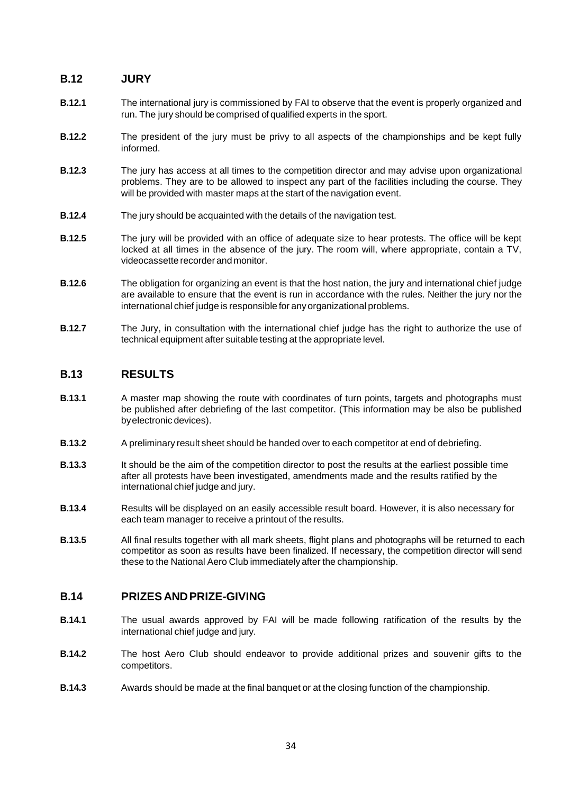#### **B.12 JURY**

- **B.12.1** The international jury is commissioned by FAI to observe that the event is properly organized and run. The jury should be comprised of qualified experts in the sport.
- **B.12.2** The president of the jury must be privy to all aspects of the championships and be kept fully informed.
- **B.12.3** The jury has access at all times to the competition director and may advise upon organizational problems. They are to be allowed to inspect any part of the facilities including the course. They will be provided with master maps at the start of the navigation event.
- **B.12.4** The jury should be acquainted with the details of the navigation test.
- **B.12.5** The jury will be provided with an office of adequate size to hear protests. The office will be kept locked at all times in the absence of the jury. The room will, where appropriate, contain a TV, videocassette recorder and monitor.
- **B.12.6** The obligation for organizing an event is that the host nation, the jury and international chief judge are available to ensure that the event is run in accordance with the rules. Neither the jury nor the international chief judge is responsible for anyorganizational problems.
- **B.12.7** The Jury, in consultation with the international chief judge has the right to authorize the use of technical equipment after suitable testing at the appropriate level.

#### **B.13 RESULTS**

- **B.13.1** A master map showing the route with coordinates of turn points, targets and photographs must be published after debriefing of the last competitor. (This information may be also be published byelectronic devices).
- **B.13.2** A preliminary result sheet should be handed over to each competitor at end of debriefing.
- **B.13.3** It should be the aim of the competition director to post the results at the earliest possible time after all protests have been investigated, amendments made and the results ratified by the international chief judge and jury.
- **B.13.4** Results will be displayed on an easily accessible result board. However, it is also necessary for each team manager to receive a printout of the results.
- **B.13.5** All final results together with all mark sheets, flight plans and photographs will be returned to each competitor as soon as results have been finalized. If necessary, the competition director will send these to the National Aero Club immediately after the championship.

#### **B.14 PRIZES ANDPRIZE-GIVING**

- **B.14.1** The usual awards approved by FAI will be made following ratification of the results by the international chief judge and jury.
- **B.14.2** The host Aero Club should endeavor to provide additional prizes and souvenir gifts to the competitors.
- **B.14.3** Awards should be made at the final banquet or at the closing function of the championship.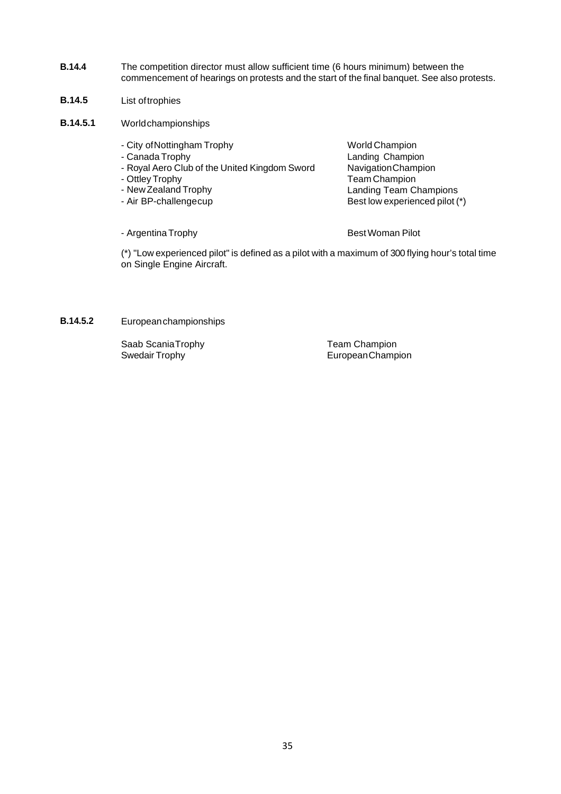- **B.14.4** The competition director must allow sufficient time (6 hours minimum) between the commencement of hearings on protests and the start of the final banquet. See also protests.
- **B.14.5**  List oftrophies
- **B.14.5.1** Worldchampionships
	- City of Nottingham Trophy<br>
	 Canada Trophy World Champion<br>
	Landing Champic
	-
	- Royal Aero Club of the United Kingdom Sword<br>- Ottley Trophy
	-
	- New Zealand Trophy
	- Air BP-challengecup

Landing Champion<br>Navigation Champion Team Champion Landing Team Champions Best low experienced pilot (\*)

- Argentina Trophy **Best Woman Pilot** 

(\*) "Low experienced pilot" is defined as a pilot with a maximum of 300 flying hour's total time on Single Engine Aircraft.

**B.14.5.2** Europeanchampionships

Saab ScaniaTrophy Swedair Trophy

Team Champion EuropeanChampion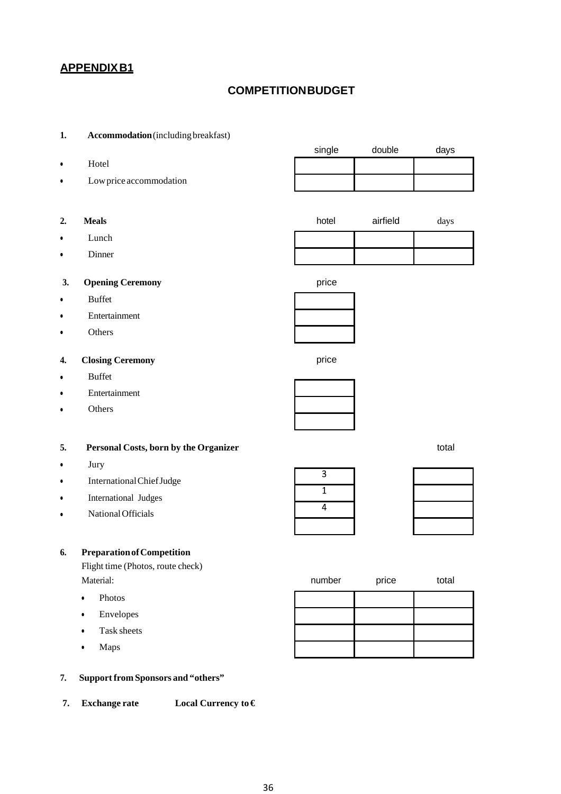#### **APPENDIXB1**

#### **COMPETITIONBUDGET**

#### **1. Accommodation**(includingbreakfast)

- Hotel
- Lowprice accommodation

| <u>.</u> | Meals |
|----------|-------|
|          |       |

- Lunch
- Dinner

#### **3. Opening Ceremony** price

- Buffet
- Entertainment
- Others

#### **4. Closing Ceremony**

- Buffet
- Entertainment
- Others

#### **5. Personal Costs, born by the Organizer**

- Jury
- InternationalChiefJudge
- International Judges
- NationalOfficials

#### **6. PreparationofCompetition**

Flight time (Photos, route check)

- Photos
- Envelopes
- Task sheets
- Maps
- **7. Support from Sponsors and "others"**
- **7. Exchange rate Local Currency to €**

| single | double | days |
|--------|--------|------|
|        |        |      |
|        |        |      |

| ŋ.<br>۵. | <b>Meals</b> | hotel | airfield | days |
|----------|--------------|-------|----------|------|
|          | Lunch        |       |          |      |
|          | Dinner       |       |          |      |



price

total

| Material:   | number | price | total |
|-------------|--------|-------|-------|
| Photos      |        |       |       |
| Envelopes   |        |       |       |
| Task sheets |        |       |       |
| <b>Maps</b> |        |       |       |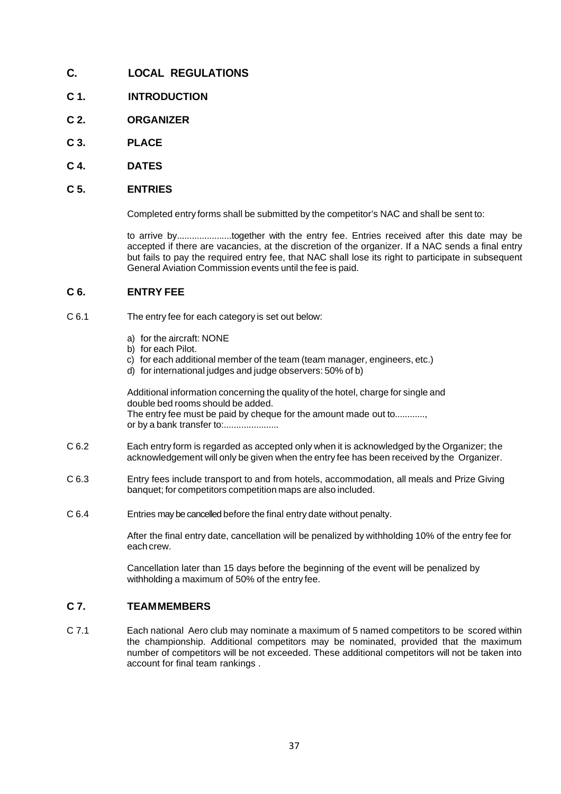- **C. LOCAL REGULATIONS**
- **C 1. INTRODUCTION**
- **C 2. ORGANIZER**
- **C 3. PLACE**
- **C 4. DATES**

#### **C 5. ENTRIES**

Completed entry forms shall be submitted by the competitor's NAC and shall be sent to:

to arrive by......................together with the entry fee. Entries received after this date may be accepted if there are vacancies, at the discretion of the organizer. If a NAC sends a final entry but fails to pay the required entry fee, that NAC shall lose its right to participate in subsequent General Aviation Commission events until the fee is paid.

#### **C 6. ENTRY FEE**

- C 6.1 The entry fee for each category is set out below:
	- a) for the aircraft: NONE
	- b) for each Pilot.
	- c) for each additional member of the team (team manager, engineers, etc.)
	- d) for international judges and judge observers: 50% of b)

Additional information concerning the quality of the hotel, charge for single and double bed rooms should be added. The entry fee must be paid by cheque for the amount made out to............, or by a bank transfer to:.......................

- C 6.2 Each entry form is regarded as accepted only when it is acknowledged by the Organizer; the acknowledgement will only be given when the entry fee has been received by the Organizer.
- C 6.3 Entry fees include transport to and from hotels, accommodation, all meals and Prize Giving banquet; for competitors competition maps are also included.
- C 6.4 Entries may be cancelled before the final entry date without penalty.

After the final entry date, cancellation will be penalized by withholding 10% of the entry fee for each crew.

Cancellation later than 15 days before the beginning of the event will be penalized by withholding a maximum of 50% of the entry fee.

#### **C 7. TEAMMEMBERS**

C 7.1 Each national Aero club may nominate a maximum of 5 named competitors to be scored within the championship. Additional competitors may be nominated, provided that the maximum number of competitors will be not exceeded. These additional competitors will not be taken into account for final team rankings .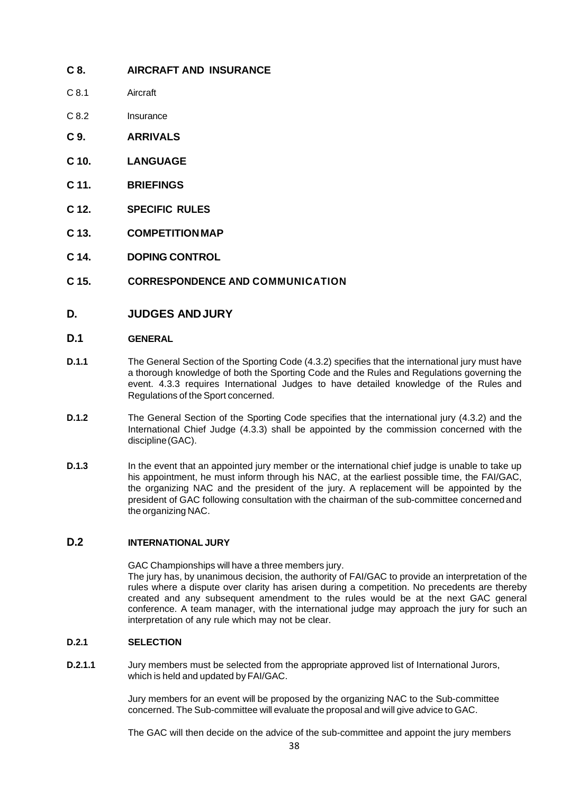#### **C 8. AIRCRAFT AND INSURANCE**

- C 8.1 Aircraft
- C 8.2 Insurance
- **C 9. ARRIVALS**
- **C 10. LANGUAGE**
- **C 11. BRIEFINGS**
- **C 12. SPECIFIC RULES**
- **C 13. COMPETITIONMAP**
- **C 14. DOPING CONTROL**
- **C 15. CORRESPONDENCE AND COMMUNICATION**

#### **D. JUDGES ANDJURY**

#### **D.1 GENERAL**

- **D.1.1** The General Section of the Sporting Code (4.3.2) specifies that the international jury must have a thorough knowledge of both the Sporting Code and the Rules and Regulations governing the event. 4.3.3 requires International Judges to have detailed knowledge of the Rules and Regulations of the Sport concerned.
- **D.1.2** The General Section of the Sporting Code specifies that the international jury (4.3.2) and the International Chief Judge (4.3.3) shall be appointed by the commission concerned with the discipline(GAC).
- **D.1.3** In the event that an appointed jury member or the international chief judge is unable to take up his appointment, he must inform through his NAC, at the earliest possible time, the FAI/GAC, the organizing NAC and the president of the jury. A replacement will be appointed by the president of GAC following consultation with the chairman of the sub-committee concerned and the organizing NAC.

#### **D.2 INTERNATIONAL JURY**

GAC Championships will have a three members jury.

The jury has, by unanimous decision, the authority of FAI/GAC to provide an interpretation of the rules where a dispute over clarity has arisen during a competition. No precedents are thereby created and any subsequent amendment to the rules would be at the next GAC general conference. A team manager, with the international judge may approach the jury for such an interpretation of any rule which may not be clear.

#### **D.2.1 SELECTION**

**D.2.1.1** Jury members must be selected from the appropriate approved list of International Jurors, which is held and updated by FAI/GAC.

> Jury members for an event will be proposed by the organizing NAC to the Sub-committee concerned. The Sub-committee will evaluate the proposal and will give advice to GAC.

The GAC will then decide on the advice of the sub-committee and appoint the jury members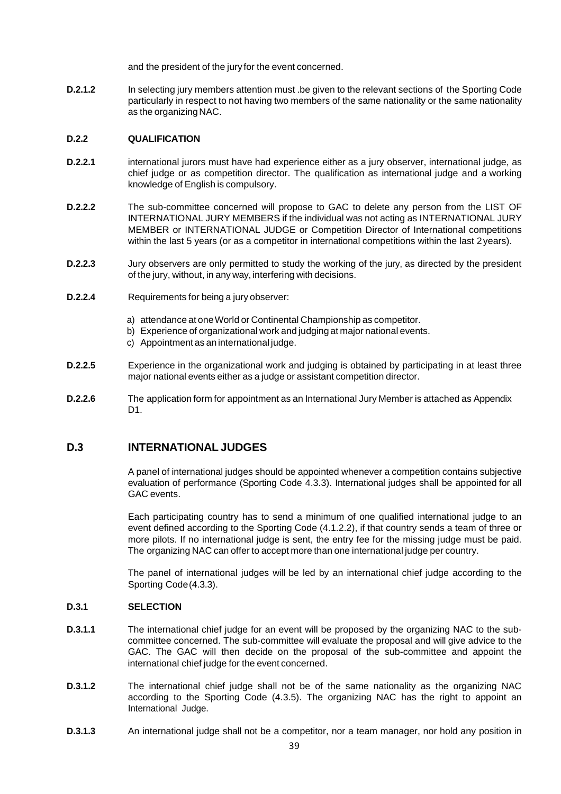and the president of the jury for the event concerned.

**D.2.1.2** In selecting jury members attention must .be given to the relevant sections of the Sporting Code particularly in respect to not having two members of the same nationality or the same nationality as the organizing NAC.

#### **D.2.2 QUALIFICATION**

- **D.2.2.1** international jurors must have had experience either as a jury observer, international judge, as chief judge or as competition director. The qualification as international judge and a working knowledge of English is compulsory.
- **D.2.2.2** The sub-committee concerned will propose to GAC to delete any person from the LIST OF INTERNATIONAL JURY MEMBERS if the individual was not acting as INTERNATIONAL JURY MEMBER or INTERNATIONAL JUDGE or Competition Director of International competitions within the last 5 years (or as a competitor in international competitions within the last 2years).
- **D.2.2.3** Jury observers are only permitted to study the working of the jury, as directed by the president of the jury, without, in any way, interfering with decisions.
- **D.2.2.4** Requirements for being a jury observer:
	- a) attendance at one World or Continental Championship as competitor.
	- b) Experience of organizational work and judging at major national events.
	- c) Appointment as an international judge.
- **D.2.2.5** Experience in the organizational work and judging is obtained by participating in at least three major national events either as a judge or assistant competition director.
- **D.2.2.6** The application form for appointment as an International Jury Member is attached as Appendix D1.

#### **D.3 INTERNATIONAL JUDGES**

A panel of international judges should be appointed whenever a competition contains subjective evaluation of performance (Sporting Code 4.3.3). International judges shall be appointed for all GAC events.

Each participating country has to send a minimum of one qualified international judge to an event defined according to the Sporting Code (4.1.2.2), if that country sends a team of three or more pilots. If no international judge is sent, the entry fee for the missing judge must be paid. The organizing NAC can offer to accept more than one international judge per country.

The panel of international judges will be led by an international chief judge according to the Sporting Code(4.3.3).

#### **D.3.1 SELECTION**

- **D.3.1.1** The international chief judge for an event will be proposed by the organizing NAC to the subcommittee concerned. The sub-committee will evaluate the proposal and will give advice to the GAC. The GAC will then decide on the proposal of the sub-committee and appoint the international chief judge for the event concerned.
- **D.3.1.2** The international chief judge shall not be of the same nationality as the organizing NAC according to the Sporting Code (4.3.5). The organizing NAC has the right to appoint an International Judge.
- **D.3.1.3** An international judge shall not be a competitor, nor a team manager, nor hold any position in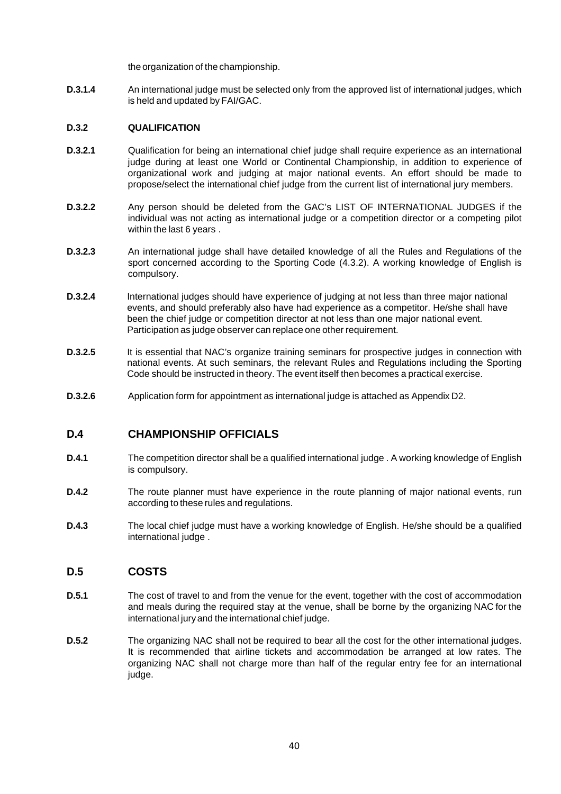the organization of the championship.

**D.3.1.4** An international judge must be selected only from the approved list of international judges, which is held and updated by FAI/GAC.

#### **D.3.2 QUALIFICATION**

- **D.3.2.1** Qualification for being an international chief judge shall require experience as an international judge during at least one World or Continental Championship, in addition to experience of organizational work and judging at major national events. An effort should be made to propose/select the international chief judge from the current list of international jury members.
- **D.3.2.2** Any person should be deleted from the GAC's LIST OF INTERNATIONAL JUDGES if the individual was not acting as international judge or a competition director or a competing pilot within the last 6 years .
- **D.3.2.3** An international judge shall have detailed knowledge of all the Rules and Regulations of the sport concerned according to the Sporting Code (4.3.2). A working knowledge of English is compulsory.
- **D.3.2.4** International judges should have experience of judging at not less than three major national events, and should preferably also have had experience as a competitor. He/she shall have been the chief judge or competition director at not less than one major national event. Participation as judge observer can replace one other requirement.
- **D.3.2.5** It is essential that NAC's organize training seminars for prospective judges in connection with national events. At such seminars, the relevant Rules and Regulations including the Sporting Code should be instructed in theory. The event itself then becomes a practical exercise.
- **D.3.2.6** Application form for appointment as international judge is attached as Appendix D2.

#### **D.4 CHAMPIONSHIP OFFICIALS**

- **D.4.1** The competition director shall be a qualified international judge . A working knowledge of English is compulsory.
- **D.4.2** The route planner must have experience in the route planning of major national events, run according to these rules and regulations.
- **D.4.3** The local chief judge must have a working knowledge of English. He/she should be a qualified international judge .

#### **D.5 COSTS**

- **D.5.1** The cost of travel to and from the venue for the event, together with the cost of accommodation and meals during the required stay at the venue, shall be borne by the organizing NAC for the international juryand the international chief judge.
- **D.5.2** The organizing NAC shall not be required to bear all the cost for the other international judges. It is recommended that airline tickets and accommodation be arranged at low rates. The organizing NAC shall not charge more than half of the regular entry fee for an international judge.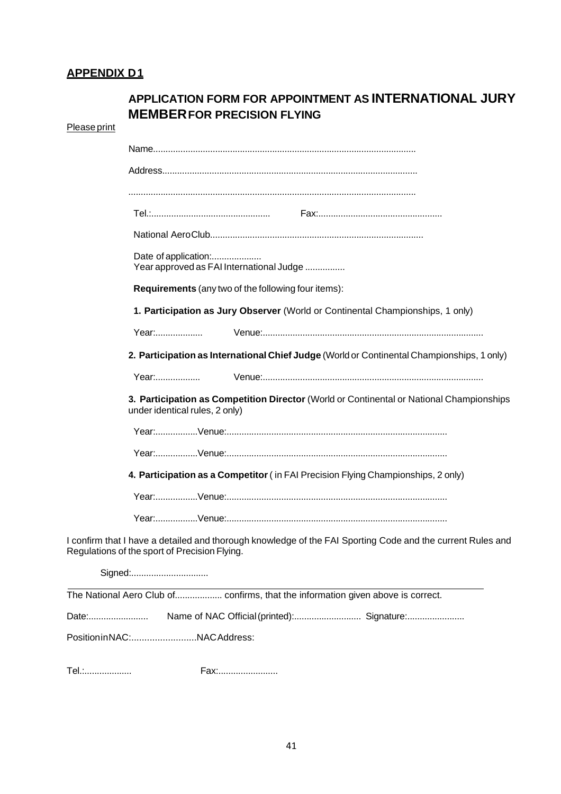| Please print | LIVIDLINI VINTINLYIJIVIN I LIIING                                                                                                                           |
|--------------|-------------------------------------------------------------------------------------------------------------------------------------------------------------|
|              |                                                                                                                                                             |
|              |                                                                                                                                                             |
|              |                                                                                                                                                             |
|              |                                                                                                                                                             |
|              |                                                                                                                                                             |
|              | Date of application:<br>Year approved as FAI International Judge                                                                                            |
|              | Requirements (any two of the following four items):                                                                                                         |
|              | 1. Participation as Jury Observer (World or Continental Championships, 1 only)                                                                              |
|              | Year:                                                                                                                                                       |
|              | 2. Participation as International Chief Judge (World or Continental Championships, 1 only)                                                                  |
|              | Year:                                                                                                                                                       |
|              | 3. Participation as Competition Director (World or Continental or National Championships<br>under identical rules, 2 only)                                  |
|              |                                                                                                                                                             |
|              |                                                                                                                                                             |
|              | 4. Participation as a Competitor (in FAI Precision Flying Championships, 2 only)                                                                            |
|              |                                                                                                                                                             |
|              |                                                                                                                                                             |
|              | I confirm that I have a detailed and thorough knowledge of the FAI Sporting Code and the current Rules and<br>Regulations of the sport of Precision Flying. |
|              | Signed:                                                                                                                                                     |
|              | The National Aero Club of confirms, that the information given above is correct.                                                                            |
| Date:        |                                                                                                                                                             |
|              |                                                                                                                                                             |

#### **APPLICATION FORM FOR APPOINTMENT AS INTERNATIONAL JURY MEMBERFOR PRECISION FLYING**

Tel.:................... Fax:........................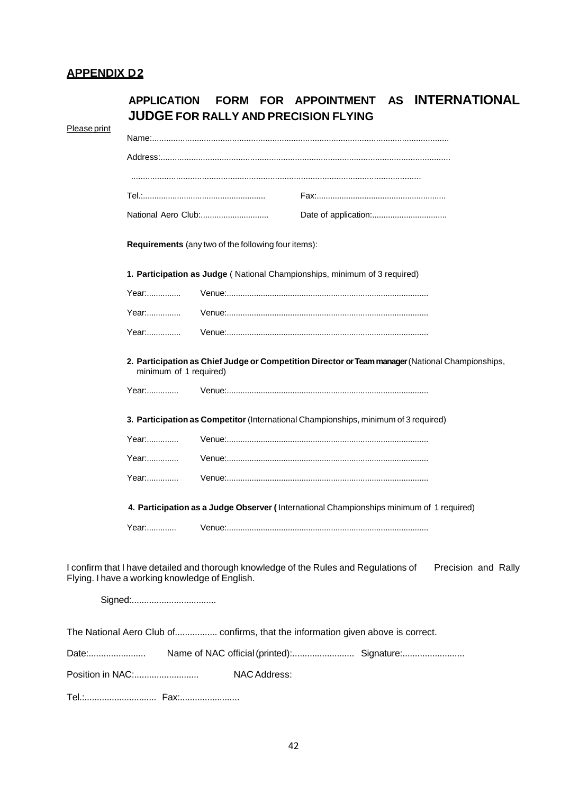### **APPENDIX D2**

|                        | Requirements (any two of the following four items): |                                                                                                  |  |
|------------------------|-----------------------------------------------------|--------------------------------------------------------------------------------------------------|--|
|                        |                                                     | 1. Participation as Judge (National Championships, minimum of 3 required)                        |  |
| Year:                  |                                                     |                                                                                                  |  |
|                        |                                                     |                                                                                                  |  |
| Year:                  |                                                     |                                                                                                  |  |
| Year:                  |                                                     |                                                                                                  |  |
| minimum of 1 required) |                                                     | 2. Participation as Chief Judge or Competition Director or Team manager (National Championships, |  |
| Year:                  |                                                     |                                                                                                  |  |
|                        |                                                     | 3. Participation as Competitor (International Championships, minimum of 3 required)              |  |
| Year:                  |                                                     |                                                                                                  |  |
| Year:                  |                                                     |                                                                                                  |  |
| Year:                  |                                                     |                                                                                                  |  |
|                        |                                                     | 4. Participation as a Judge Observer (International Championships minimum of 1 required)         |  |

Signed:..................................

| Date: |              |  |
|-------|--------------|--|
|       | NAC Address: |  |

Tel.:............................. Fax:........................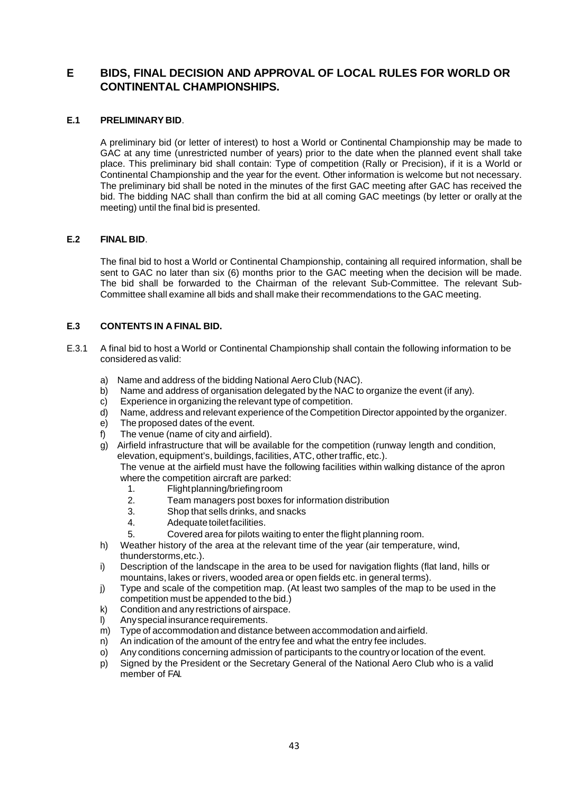#### **E BIDS, FINAL DECISION AND APPROVAL OF LOCAL RULES FOR WORLD OR CONTINENTAL CHAMPIONSHIPS.**

#### **E.1 PRELIMINARY BID**.

A preliminary bid (or letter of interest) to host a World or Continental Championship may be made to GAC at any time (unrestricted number of years) prior to the date when the planned event shall take place. This preliminary bid shall contain: Type of competition (Rally or Precision), if it is a World or Continental Championship and the year for the event. Other information is welcome but not necessary. The preliminary bid shall be noted in the minutes of the first GAC meeting after GAC has received the bid. The bidding NAC shall than confirm the bid at all coming GAC meetings (by letter or orally at the meeting) until the final bid is presented.

#### **E.2 FINAL BID**.

The final bid to host a World or Continental Championship, containing all required information, shall be sent to GAC no later than six (6) months prior to the GAC meeting when the decision will be made. The bid shall be forwarded to the Chairman of the relevant Sub-Committee. The relevant Sub-Committee shall examine all bids and shall make their recommendations to the GAC meeting.

#### **E.3 CONTENTS IN A FINAL BID.**

- E.3.1 A final bid to host a World or Continental Championship shall contain the following information to be considered as valid:
	- a) Name and address of the bidding National Aero Club (NAC).
	- b) Name and address of organisation delegated by the NAC to organize the event (if any).
	- c) Experience in organizing the relevant type of competition.
	- d) Name, address and relevant experience of the Competition Director appointed by the organizer.
	- e) The proposed dates of the event.
	- f) The venue (name of city and airfield).
	- g) Airfield infrastructure that will be available for the competition (runway length and condition, elevation, equipment's, buildings, facilities, ATC, other traffic, etc.).

The venue at the airfield must have the following facilities within walking distance of the apron where the competition aircraft are parked:<br>1. Flightplanning/briefing room

- 1. Flightplanning/briefingroom<br>2. Team managers post boxes t
- 2. Team managers post boxes for information distribution<br>3. Shop that sells drinks, and snacks
- 3. Shop that sells drinks, and snacks<br>4. Adequate toilet facilities.
- Adequate toilet facilities.
- 5. Covered area for pilots waiting to enter the flight planning room.
- h) Weather history of the area at the relevant time of the year (air temperature, wind, thunderstorms,etc.).
- i) Description of the landscape in the area to be used for navigation flights (flat land, hills or mountains, lakes or rivers, wooded area or open fields etc. in general terms).
- j) Type and scale of the competition map. (At least two samples of the map to be used in the competition must be appended to the bid.)
- k) Condition and any restrictions of airspace.<br>
I) Any special insurance requirements.
- Any special insurance requirements.
- m) Type of accommodation and distance between accommodation and airfield.
- n) An indication of the amount of the entry fee and what the entry fee includes.
- o) Any conditions concerning admission of participants to the countryor location of the event.
- p) Signed by the President or the Secretary General of the National Aero Club who is a valid member of FAI.